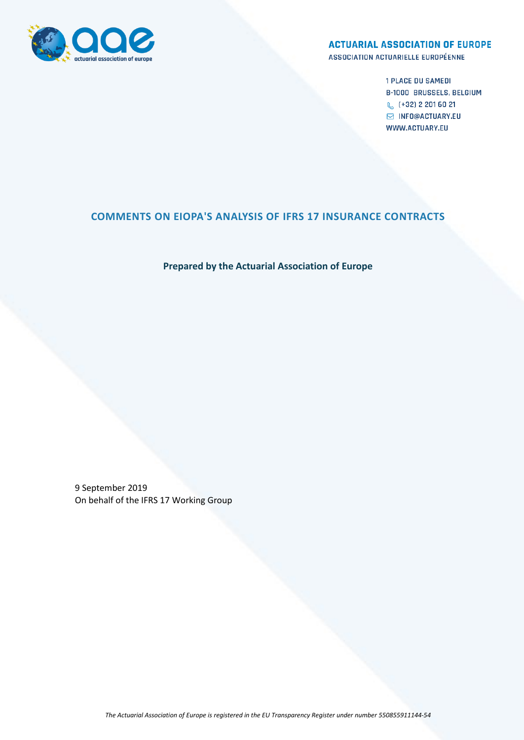

#### **ACTUARIAL ASSOCIATION OF EUROPE**

ASSOCIATION ACTUARIELLE EUROPÉENNE

**1 PLACE DU SAMEDI B-1000 BRUSSELS, BELGIUM** € (+32) 2 201 60 21 **S INFO@ACTUARY.EU** WWW.ACTUARY.EU

# **COMMENTS ON EIOPA'S ANALYSIS OF IFRS 17 INSURANCE CONTRACTS**

## **Prepared by the Actuarial Association of Europe**

9 September 2019 On behalf of the IFRS 17 Working Group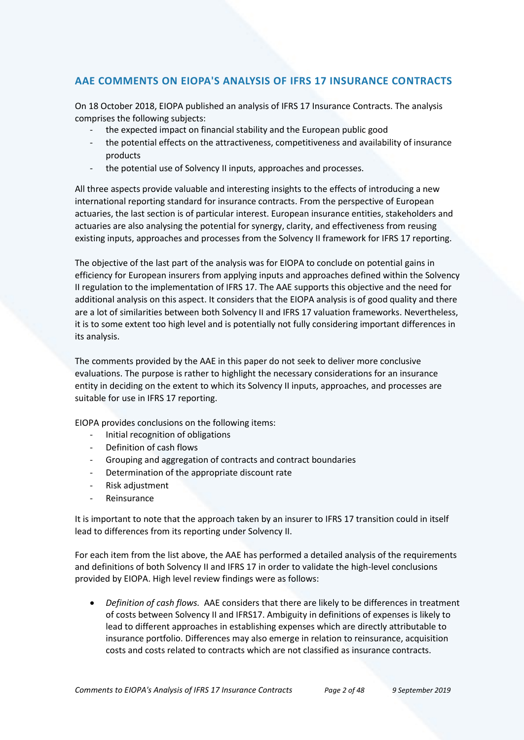# **AAE COMMENTS ON EIOPA'S ANALYSIS OF IFRS 17 INSURANCE CONTRACTS**

On 18 October 2018, EIOPA published an analysis of IFRS 17 Insurance Contracts. The analysis comprises the following subjects:

- the expected impact on financial stability and the European public good
- the potential effects on the attractiveness, competitiveness and availability of insurance products
- the potential use of Solvency II inputs, approaches and processes.

All three aspects provide valuable and interesting insights to the effects of introducing a new international reporting standard for insurance contracts. From the perspective of European actuaries, the last section is of particular interest. European insurance entities, stakeholders and actuaries are also analysing the potential for synergy, clarity, and effectiveness from reusing existing inputs, approaches and processes from the Solvency II framework for IFRS 17 reporting.

The objective of the last part of the analysis was for EIOPA to conclude on potential gains in efficiency for European insurers from applying inputs and approaches defined within the Solvency II regulation to the implementation of IFRS 17. The AAE supports this objective and the need for additional analysis on this aspect. It considers that the EIOPA analysis is of good quality and there are a lot of similarities between both Solvency II and IFRS 17 valuation frameworks. Nevertheless, it is to some extent too high level and is potentially not fully considering important differences in its analysis.

The comments provided by the AAE in this paper do not seek to deliver more conclusive evaluations. The purpose is rather to highlight the necessary considerations for an insurance entity in deciding on the extent to which its Solvency II inputs, approaches, and processes are suitable for use in IFRS 17 reporting.

EIOPA provides conclusions on the following items:

- Initial recognition of obligations
- Definition of cash flows
- Grouping and aggregation of contracts and contract boundaries
- Determination of the appropriate discount rate
- Risk adjustment
- **Reinsurance**

It is important to note that the approach taken by an insurer to IFRS 17 transition could in itself lead to differences from its reporting under Solvency II.

For each item from the list above, the AAE has performed a detailed analysis of the requirements and definitions of both Solvency II and IFRS 17 in order to validate the high-level conclusions provided by EIOPA. High level review findings were as follows:

 *Definition of cash flows.* AAE considers that there are likely to be differences in treatment of costs between Solvency II and IFRS17. Ambiguity in definitions of expenses is likely to lead to different approaches in establishing expenses which are directly attributable to insurance portfolio. Differences may also emerge in relation to reinsurance, acquisition costs and costs related to contracts which are not classified as insurance contracts.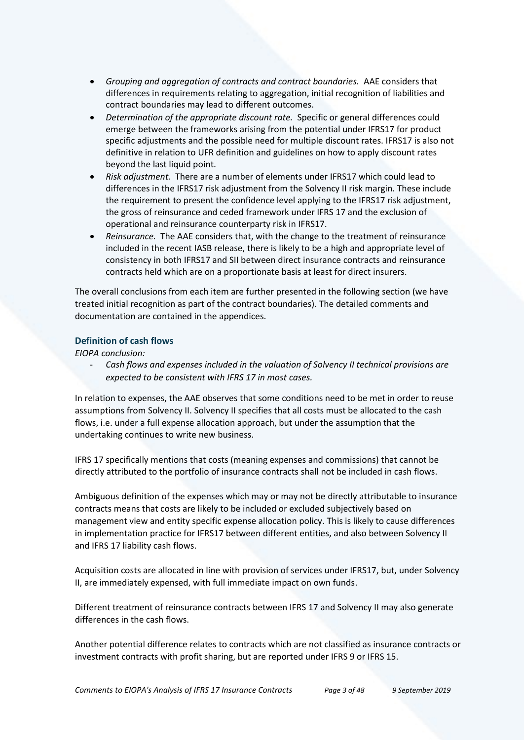- *Grouping and aggregation of contracts and contract boundaries.* AAE considers that differences in requirements relating to aggregation, initial recognition of liabilities and contract boundaries may lead to different outcomes.
- *Determination of the appropriate discount rate.* Specific or general differences could emerge between the frameworks arising from the potential under IFRS17 for product specific adjustments and the possible need for multiple discount rates. IFRS17 is also not definitive in relation to UFR definition and guidelines on how to apply discount rates beyond the last liquid point.
- *Risk adjustment.* There are a number of elements under IFRS17 which could lead to differences in the IFRS17 risk adjustment from the Solvency II risk margin. These include the requirement to present the confidence level applying to the IFRS17 risk adjustment, the gross of reinsurance and ceded framework under IFRS 17 and the exclusion of operational and reinsurance counterparty risk in IFRS17.
- *Reinsurance.* The AAE considers that, with the change to the treatment of reinsurance included in the recent IASB release, there is likely to be a high and appropriate level of consistency in both IFRS17 and SII between direct insurance contracts and reinsurance contracts held which are on a proportionate basis at least for direct insurers.

The overall conclusions from each item are further presented in the following section (we have treated initial recognition as part of the contract boundaries). The detailed comments and documentation are contained in the appendices.

## **Definition of cash flows**

*EIOPA conclusion:*

Cash flows and expenses included in the valuation of Solvency II technical provisions are *expected to be consistent with IFRS 17 in most cases.*

In relation to expenses, the AAE observes that some conditions need to be met in order to reuse assumptions from Solvency II. Solvency II specifies that all costs must be allocated to the cash flows, i.e. under a full expense allocation approach, but under the assumption that the undertaking continues to write new business.

IFRS 17 specifically mentions that costs (meaning expenses and commissions) that cannot be directly attributed to the portfolio of insurance contracts shall not be included in cash flows.

Ambiguous definition of the expenses which may or may not be directly attributable to insurance contracts means that costs are likely to be included or excluded subjectively based on management view and entity specific expense allocation policy. This is likely to cause differences in implementation practice for IFRS17 between different entities, and also between Solvency II and IFRS 17 liability cash flows.

Acquisition costs are allocated in line with provision of services under IFRS17, but, under Solvency II, are immediately expensed, with full immediate impact on own funds.

Different treatment of reinsurance contracts between IFRS 17 and Solvency II may also generate differences in the cash flows.

Another potential difference relates to contracts which are not classified as insurance contracts or investment contracts with profit sharing, but are reported under IFRS 9 or IFRS 15.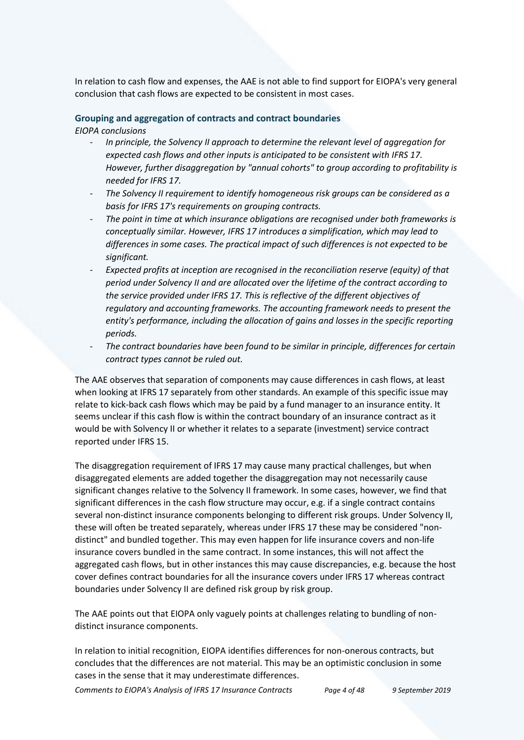In relation to cash flow and expenses, the AAE is not able to find support for EIOPA's very general conclusion that cash flows are expected to be consistent in most cases.

# **Grouping and aggregation of contracts and contract boundaries**

*EIOPA conclusions*

- *In principle, the Solvency II approach to determine the relevant level of aggregation for expected cash flows and other inputs is anticipated to be consistent with IFRS 17. However, further disaggregation by "annual cohorts" to group according to profitability is needed for IFRS 17.*
- *The Solvency II requirement to identify homogeneous risk groups can be considered as a basis for IFRS 17's requirements on grouping contracts.*
- *The point in time at which insurance obligations are recognised under both frameworks is conceptually similar. However, IFRS 17 introduces a simplification, which may lead to differences in some cases. The practical impact of such differences is not expected to be significant.*
- *Expected profits at inception are recognised in the reconciliation reserve (equity) of that period under Solvency II and are allocated over the lifetime of the contract according to the service provided under IFRS 17. This is reflective of the different objectives of regulatory and accounting frameworks. The accounting framework needs to present the entity's performance, including the allocation of gains and losses in the specific reporting periods.*
- *The contract boundaries have been found to be similar in principle, differences for certain contract types cannot be ruled out.*

The AAE observes that separation of components may cause differences in cash flows, at least when looking at IFRS 17 separately from other standards. An example of this specific issue may relate to kick-back cash flows which may be paid by a fund manager to an insurance entity. It seems unclear if this cash flow is within the contract boundary of an insurance contract as it would be with Solvency II or whether it relates to a separate (investment) service contract reported under IFRS 15.

The disaggregation requirement of IFRS 17 may cause many practical challenges, but when disaggregated elements are added together the disaggregation may not necessarily cause significant changes relative to the Solvency II framework. In some cases, however, we find that significant differences in the cash flow structure may occur, e.g. if a single contract contains several non-distinct insurance components belonging to different risk groups. Under Solvency II, these will often be treated separately, whereas under IFRS 17 these may be considered "nondistinct" and bundled together. This may even happen for life insurance covers and non-life insurance covers bundled in the same contract. In some instances, this will not affect the aggregated cash flows, but in other instances this may cause discrepancies, e.g. because the host cover defines contract boundaries for all the insurance covers under IFRS 17 whereas contract boundaries under Solvency II are defined risk group by risk group.

The AAE points out that EIOPA only vaguely points at challenges relating to bundling of nondistinct insurance components.

In relation to initial recognition, EIOPA identifies differences for non-onerous contracts, but concludes that the differences are not material. This may be an optimistic conclusion in some cases in the sense that it may underestimate differences.

*Comments to EIOPA's Analysis of IFRS 17 Insurance Contracts Page 4 of 48 9 September 2019*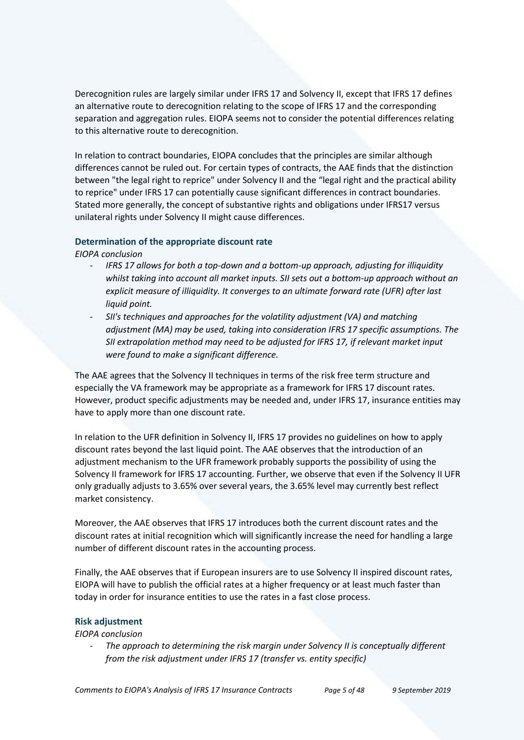Derecognition rules are largely similar under IFRS 17 and Solvency II, except that IFRS 17 defines an alternative route to derecognition relating to the scope of IFRS 17 and the corresponding separation and aggregation rules. EIOPA seems not to consider the potential differences relating to this alternative route to derecognition.

In relation to contract boundaries, EIOPA concludes that the principles are similar although differences cannot be ruled out. For certain types of contracts, the AAE finds that the distinction between "the legal right to reprice" under Solvency II and the "legal right and the practical ability to reprice" under IFRS 17 can potentially cause significant differences in contract boundaries. Stated more generally, the concept of substantive rights and obligations under IFRS17 versus unilateral rights under Solvency II might cause differences.

## **Determination of the appropriate discount rate**

*EIOPA conclusion*

- *IFRS 17 allows for both a top-down and a bottom-up approach, adjusting for illiquidity whilst taking into account all market inputs. SII sets out a bottom-up approach without an explicit measure of illiquidity. It converges to an ultimate forward rate (UFR) after last liquid point.*
- *SII's techniques and approaches for the volatility adjustment (VA) and matching adjustment (MA) may be used, taking into consideration IFRS 17 specific assumptions. The SII extrapolation method may need to be adjusted for IFRS 17, if relevant market input were found to make a significant difference.*

The AAE agrees that the Solvency II techniques in terms of the risk free term structure and especially the VA framework may be appropriate as a framework for IFRS 17 discount rates. However, product specific adjustments may be needed and, under IFRS 17, insurance entities may have to apply more than one discount rate.

In relation to the UFR definition in Solvency II, IFRS 17 provides no guidelines on how to apply discount rates beyond the last liquid point. The AAE observes that the introduction of an adjustment mechanism to the UFR framework probably supports the possibility of using the Solvency II framework for IFRS 17 accounting. Further, we observe that even if the Solvency II UFR only gradually adjusts to 3.65% over several years, the 3.65% level may currently best reflect market consistency.

Moreover, the AAE observes that IFRS 17 introduces both the current discount rates and the discount rates at initial recognition which will significantly increase the need for handling a large number of different discount rates in the accounting process.

Finally, the AAE observes that if European insurers are to use Solvency II inspired discount rates, EIOPA will have to publish the official rates at a higher frequency or at least much faster than today in order for insurance entities to use the rates in a fast close process.

## **Risk adjustment**

*EIOPA conclusion*

- *The approach to determining the risk margin under Solvency II is conceptually different from the risk adjustment under IFRS 17 (transfer vs. entity specific)*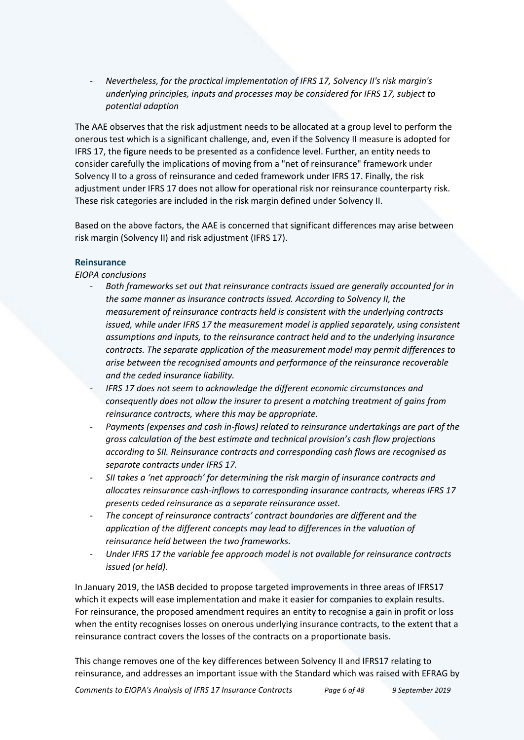- *Nevertheless, for the practical implementation of IFRS 17, Solvency II's risk margin's underlying principles, inputs and processes may be considered for IFRS 17, subject to potential adaption*

The AAE observes that the risk adjustment needs to be allocated at a group level to perform the onerous test which is a significant challenge, and, even if the Solvency II measure is adopted for IFRS 17, the figure needs to be presented as a confidence level. Further, an entity needs to consider carefully the implications of moving from a "net of reinsurance" framework under Solvency II to a gross of reinsurance and ceded framework under IFRS 17. Finally, the risk adjustment under IFRS 17 does not allow for operational risk nor reinsurance counterparty risk. These risk categories are included in the risk margin defined under Solvency II.

Based on the above factors, the AAE is concerned that significant differences may arise between risk margin (Solvency II) and risk adjustment (IFRS 17).

#### **Reinsurance**

*EIOPA conclusions*

- *Both frameworks set out that reinsurance contracts issued are generally accounted for in the same manner as insurance contracts issued. According to Solvency II, the measurement of reinsurance contracts held is consistent with the underlying contracts issued, while under IFRS 17 the measurement model is applied separately, using consistent assumptions and inputs, to the reinsurance contract held and to the underlying insurance contracts. The separate application of the measurement model may permit differences to arise between the recognised amounts and performance of the reinsurance recoverable and the ceded insurance liability.*
- *IFRS 17 does not seem to acknowledge the different economic circumstances and consequently does not allow the insurer to present a matching treatment of gains from reinsurance contracts, where this may be appropriate.*
- *Payments (expenses and cash in-flows) related to reinsurance undertakings are part of the gross calculation of the best estimate and technical provision's cash flow projections according to SII. Reinsurance contracts and corresponding cash flows are recognised as separate contracts under IFRS 17.*
- *SII takes a 'net approach' for determining the risk margin of insurance contracts and allocates reinsurance cash-inflows to corresponding insurance contracts, whereas IFRS 17 presents ceded reinsurance as a separate reinsurance asset.*
- *The concept of reinsurance contracts' contract boundaries are different and the application of the different concepts may lead to differences in the valuation of reinsurance held between the two frameworks.*
- *Under IFRS 17 the variable fee approach model is not available for reinsurance contracts issued (or held).*

In January 2019, the IASB decided to propose targeted improvements in three areas of IFRS17 which it expects will ease implementation and make it easier for companies to explain results. For reinsurance, the proposed amendment requires an entity to recognise a gain in profit or loss when the entity recognises losses on onerous underlying insurance contracts, to the extent that a reinsurance contract covers the losses of the contracts on a proportionate basis.

This change removes one of the key differences between Solvency II and IFRS17 relating to reinsurance, and addresses an important issue with the Standard which was raised with EFRAG by

*Comments to EIOPA's Analysis of IFRS 17 Insurance Contracts Page 6 of 48 9 September 2019*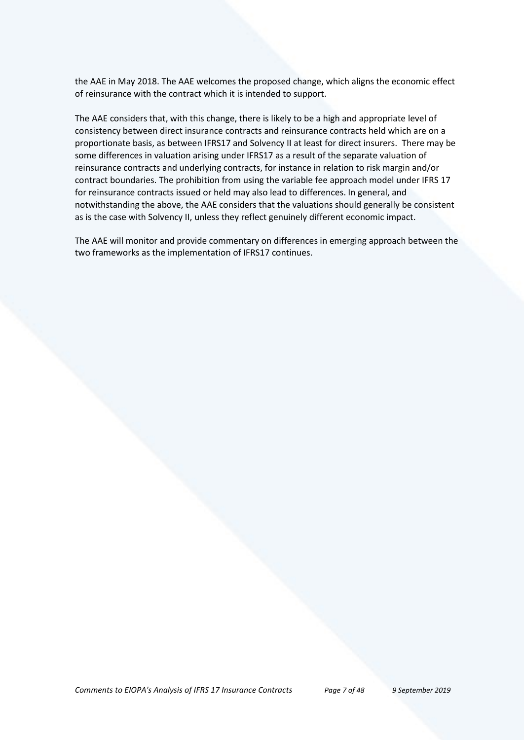the AAE in May 2018. The AAE welcomes the proposed change, which aligns the economic effect of reinsurance with the contract which it is intended to support.

The AAE considers that, with this change, there is likely to be a high and appropriate level of consistency between direct insurance contracts and reinsurance contracts held which are on a proportionate basis, as between IFRS17 and Solvency II at least for direct insurers. There may be some differences in valuation arising under IFRS17 as a result of the separate valuation of reinsurance contracts and underlying contracts, for instance in relation to risk margin and/or contract boundaries. The prohibition from using the variable fee approach model under IFRS 17 for reinsurance contracts issued or held may also lead to differences. In general, and notwithstanding the above, the AAE considers that the valuations should generally be consistent as is the case with Solvency II, unless they reflect genuinely different economic impact.

The AAE will monitor and provide commentary on differences in emerging approach between the two frameworks as the implementation of IFRS17 continues.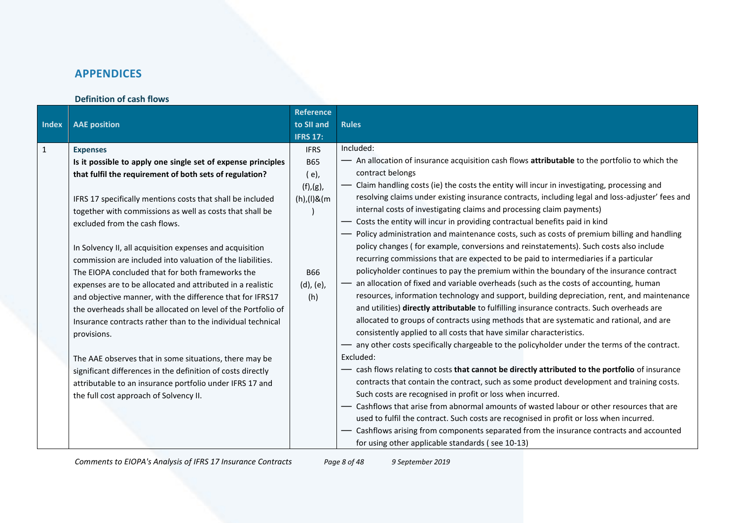# **APPENDICES**

## **Definition of cash flows**

| <b>Index</b> | <b>AAE</b> position                                                                                                                                                                                                                                                                                                                                                                                                                                                                                                                                                                                                                                                                                                                                                                                                                                                                                                                                                                          | <b>Reference</b><br>to SII and<br><b>IFRS 17:</b>                                                       | <b>Rules</b>                                                                                                                                                                                                                                                                                                                                                                                                                                                                                                                                                                                                                                                                                                                                                                                                                                                                                                                                                                                                                                                                                                                                                                                                                                                                                                                                                                                                                                                                                                                                                                                                                                                                                                                                                                                                                                                                                                                                                                                                                                          |
|--------------|----------------------------------------------------------------------------------------------------------------------------------------------------------------------------------------------------------------------------------------------------------------------------------------------------------------------------------------------------------------------------------------------------------------------------------------------------------------------------------------------------------------------------------------------------------------------------------------------------------------------------------------------------------------------------------------------------------------------------------------------------------------------------------------------------------------------------------------------------------------------------------------------------------------------------------------------------------------------------------------------|---------------------------------------------------------------------------------------------------------|-------------------------------------------------------------------------------------------------------------------------------------------------------------------------------------------------------------------------------------------------------------------------------------------------------------------------------------------------------------------------------------------------------------------------------------------------------------------------------------------------------------------------------------------------------------------------------------------------------------------------------------------------------------------------------------------------------------------------------------------------------------------------------------------------------------------------------------------------------------------------------------------------------------------------------------------------------------------------------------------------------------------------------------------------------------------------------------------------------------------------------------------------------------------------------------------------------------------------------------------------------------------------------------------------------------------------------------------------------------------------------------------------------------------------------------------------------------------------------------------------------------------------------------------------------------------------------------------------------------------------------------------------------------------------------------------------------------------------------------------------------------------------------------------------------------------------------------------------------------------------------------------------------------------------------------------------------------------------------------------------------------------------------------------------------|
| $\mathbf{1}$ | <b>Expenses</b><br>Is it possible to apply one single set of expense principles<br>that fulfil the requirement of both sets of regulation?<br>IFRS 17 specifically mentions costs that shall be included<br>together with commissions as well as costs that shall be<br>excluded from the cash flows.<br>In Solvency II, all acquisition expenses and acquisition<br>commission are included into valuation of the liabilities.<br>The EIOPA concluded that for both frameworks the<br>expenses are to be allocated and attributed in a realistic<br>and objective manner, with the difference that for IFRS17<br>the overheads shall be allocated on level of the Portfolio of<br>Insurance contracts rather than to the individual technical<br>provisions.<br>The AAE observes that in some situations, there may be<br>significant differences in the definition of costs directly<br>attributable to an insurance portfolio under IFRS 17 and<br>the full cost approach of Solvency II. | <b>IFRS</b><br><b>B65</b><br>$(e)$ ,<br>(f),(g),<br>$(h)/(1)$ & $(m)$<br><b>B66</b><br>(d), (e),<br>(h) | Included:<br>- An allocation of insurance acquisition cash flows attributable to the portfolio to which the<br>contract belongs<br>Claim handling costs (ie) the costs the entity will incur in investigating, processing and<br>resolving claims under existing insurance contracts, including legal and loss-adjuster' fees and<br>internal costs of investigating claims and processing claim payments)<br>- Costs the entity will incur in providing contractual benefits paid in kind<br>- Policy administration and maintenance costs, such as costs of premium billing and handling<br>policy changes (for example, conversions and reinstatements). Such costs also include<br>recurring commissions that are expected to be paid to intermediaries if a particular<br>policyholder continues to pay the premium within the boundary of the insurance contract<br>- an allocation of fixed and variable overheads (such as the costs of accounting, human<br>resources, information technology and support, building depreciation, rent, and maintenance<br>and utilities) directly attributable to fulfilling insurance contracts. Such overheads are<br>allocated to groups of contracts using methods that are systematic and rational, and are<br>consistently applied to all costs that have similar characteristics.<br>- any other costs specifically chargeable to the policyholder under the terms of the contract.<br>Excluded:<br>- cash flows relating to costs that cannot be directly attributed to the portfolio of insurance<br>contracts that contain the contract, such as some product development and training costs.<br>Such costs are recognised in profit or loss when incurred.<br>Cashflows that arise from abnormal amounts of wasted labour or other resources that are<br>used to fulfil the contract. Such costs are recognised in profit or loss when incurred.<br>- Cashflows arising from components separated from the insurance contracts and accounted<br>for using other applicable standards (see 10-13) |

*Comments to EIOPA's Analysis of IFRS 17 Insurance Contracts Page 8 of 48 9 September 2019*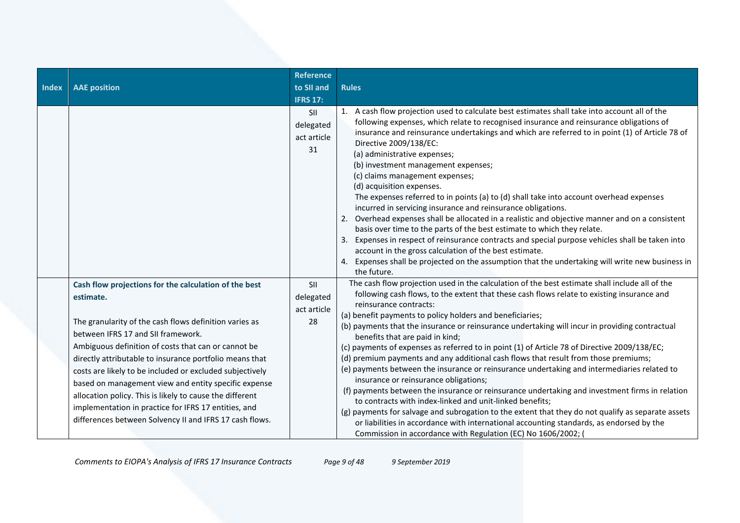| <b>Index</b> | <b>AAE</b> position                                                                                                                                                                                                                                                                                                                                                                                                                                                                                                                                                                     | <b>Reference</b><br>to SII and<br><b>IFRS 17:</b> | <b>Rules</b>                                                                                                                                                                                                                                                                                                                                                                                                                                                                                                                                                                                                                                                                                                                                                                                                                                                                                                                                                                                                                                                                                                                                                                             |
|--------------|-----------------------------------------------------------------------------------------------------------------------------------------------------------------------------------------------------------------------------------------------------------------------------------------------------------------------------------------------------------------------------------------------------------------------------------------------------------------------------------------------------------------------------------------------------------------------------------------|---------------------------------------------------|------------------------------------------------------------------------------------------------------------------------------------------------------------------------------------------------------------------------------------------------------------------------------------------------------------------------------------------------------------------------------------------------------------------------------------------------------------------------------------------------------------------------------------------------------------------------------------------------------------------------------------------------------------------------------------------------------------------------------------------------------------------------------------------------------------------------------------------------------------------------------------------------------------------------------------------------------------------------------------------------------------------------------------------------------------------------------------------------------------------------------------------------------------------------------------------|
|              |                                                                                                                                                                                                                                                                                                                                                                                                                                                                                                                                                                                         | <b>SII</b><br>delegated<br>act article<br>31      | 1. A cash flow projection used to calculate best estimates shall take into account all of the<br>following expenses, which relate to recognised insurance and reinsurance obligations of<br>insurance and reinsurance undertakings and which are referred to in point (1) of Article 78 of<br>Directive 2009/138/EC:<br>(a) administrative expenses;<br>(b) investment management expenses;<br>(c) claims management expenses;<br>(d) acquisition expenses.<br>The expenses referred to in points (a) to (d) shall take into account overhead expenses<br>incurred in servicing insurance and reinsurance obligations.<br>2. Overhead expenses shall be allocated in a realistic and objective manner and on a consistent<br>basis over time to the parts of the best estimate to which they relate.<br>Expenses in respect of reinsurance contracts and special purpose vehicles shall be taken into<br>account in the gross calculation of the best estimate.<br>4. Expenses shall be projected on the assumption that the undertaking will write new business in<br>the future.                                                                                                       |
|              | Cash flow projections for the calculation of the best<br>estimate.<br>The granularity of the cash flows definition varies as<br>between IFRS 17 and SII framework.<br>Ambiguous definition of costs that can or cannot be<br>directly attributable to insurance portfolio means that<br>costs are likely to be included or excluded subjectively<br>based on management view and entity specific expense<br>allocation policy. This is likely to cause the different<br>implementation in practice for IFRS 17 entities, and<br>differences between Solvency II and IFRS 17 cash flows. | <b>SII</b><br>delegated<br>act article<br>28      | The cash flow projection used in the calculation of the best estimate shall include all of the<br>following cash flows, to the extent that these cash flows relate to existing insurance and<br>reinsurance contracts:<br>(a) benefit payments to policy holders and beneficiaries;<br>(b) payments that the insurance or reinsurance undertaking will incur in providing contractual<br>benefits that are paid in kind;<br>(c) payments of expenses as referred to in point (1) of Article 78 of Directive 2009/138/EC;<br>(d) premium payments and any additional cash flows that result from those premiums;<br>(e) payments between the insurance or reinsurance undertaking and intermediaries related to<br>insurance or reinsurance obligations;<br>(f) payments between the insurance or reinsurance undertaking and investment firms in relation<br>to contracts with index-linked and unit-linked benefits;<br>(g) payments for salvage and subrogation to the extent that they do not qualify as separate assets<br>or liabilities in accordance with international accounting standards, as endorsed by the<br>Commission in accordance with Regulation (EC) No 1606/2002; ( |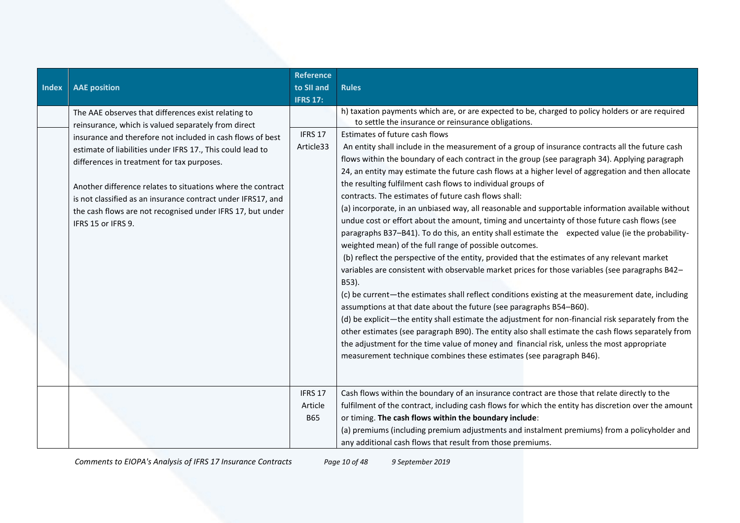| <b>Index</b> | <b>AAE</b> position                                                                                                                                                                                                                                                                                                                                                                                                                                                                                     | <b>Reference</b><br>to SII and<br><b>IFRS 17:</b> | <b>Rules</b>                                                                                                                                                                                                                                                                                                                                                                                                                                                                                                                                                                                                                                                                                                                                                                                                                                                                                                                                                                                                                                                                                                                                                                                                                                                                                                                                                                                                                                                                                                                                                                                                                                                                                           |
|--------------|---------------------------------------------------------------------------------------------------------------------------------------------------------------------------------------------------------------------------------------------------------------------------------------------------------------------------------------------------------------------------------------------------------------------------------------------------------------------------------------------------------|---------------------------------------------------|--------------------------------------------------------------------------------------------------------------------------------------------------------------------------------------------------------------------------------------------------------------------------------------------------------------------------------------------------------------------------------------------------------------------------------------------------------------------------------------------------------------------------------------------------------------------------------------------------------------------------------------------------------------------------------------------------------------------------------------------------------------------------------------------------------------------------------------------------------------------------------------------------------------------------------------------------------------------------------------------------------------------------------------------------------------------------------------------------------------------------------------------------------------------------------------------------------------------------------------------------------------------------------------------------------------------------------------------------------------------------------------------------------------------------------------------------------------------------------------------------------------------------------------------------------------------------------------------------------------------------------------------------------------------------------------------------------|
|              | The AAE observes that differences exist relating to<br>reinsurance, which is valued separately from direct<br>insurance and therefore not included in cash flows of best<br>estimate of liabilities under IFRS 17., This could lead to<br>differences in treatment for tax purposes.<br>Another difference relates to situations where the contract<br>is not classified as an insurance contract under IFRS17, and<br>the cash flows are not recognised under IFRS 17, but under<br>IFRS 15 or IFRS 9. | IFRS 17<br>Article33                              | h) taxation payments which are, or are expected to be, charged to policy holders or are required<br>to settle the insurance or reinsurance obligations.<br>Estimates of future cash flows<br>An entity shall include in the measurement of a group of insurance contracts all the future cash<br>flows within the boundary of each contract in the group (see paragraph 34). Applying paragraph<br>24, an entity may estimate the future cash flows at a higher level of aggregation and then allocate<br>the resulting fulfilment cash flows to individual groups of<br>contracts. The estimates of future cash flows shall:<br>(a) incorporate, in an unbiased way, all reasonable and supportable information available without<br>undue cost or effort about the amount, timing and uncertainty of those future cash flows (see<br>paragraphs B37-B41). To do this, an entity shall estimate the expected value (ie the probability-<br>weighted mean) of the full range of possible outcomes.<br>(b) reflect the perspective of the entity, provided that the estimates of any relevant market<br>variables are consistent with observable market prices for those variables (see paragraphs B42-<br>B53).<br>(c) be current—the estimates shall reflect conditions existing at the measurement date, including<br>assumptions at that date about the future (see paragraphs B54-B60).<br>(d) be explicit—the entity shall estimate the adjustment for non-financial risk separately from the<br>other estimates (see paragraph B90). The entity also shall estimate the cash flows separately from<br>the adjustment for the time value of money and financial risk, unless the most appropriate |
|              |                                                                                                                                                                                                                                                                                                                                                                                                                                                                                                         | IFRS 17<br>Article<br><b>B65</b>                  | measurement technique combines these estimates (see paragraph B46).<br>Cash flows within the boundary of an insurance contract are those that relate directly to the<br>fulfilment of the contract, including cash flows for which the entity has discretion over the amount<br>or timing. The cash flows within the boundary include:<br>(a) premiums (including premium adjustments and instalment premiums) from a policyholder and<br>any additional cash flows that result from those premiums.                                                                                                                                                                                                                                                                                                                                                                                                                                                                                                                                                                                                                                                                                                                                                                                                                                                                                                                                                                                                                                                                                                                                                                                                   |

*Comments to EIOPA's Analysis of IFRS 17 Insurance Contracts Page 10 of 48 9 September 2019*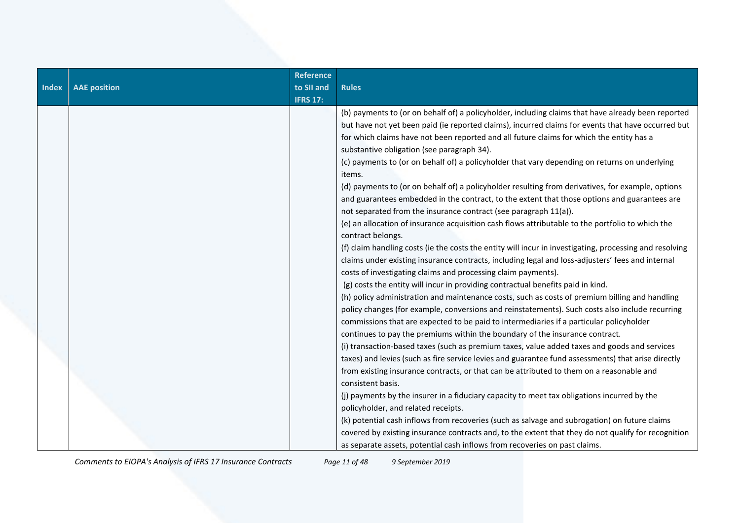| <b>Reference</b><br>to SII and<br><b>AAE</b> position<br><b>Rules</b><br><b>Index</b><br><b>IFRS 17:</b>                                                                                                                                                                                                                                                                                                                                                                                                                                                                                                                                                                                                                                                                                                                                                                                                                                                                                                                                                                                                                                                                                                                                                                                                                                                                                                                |                                                                                                                                                                                                                                                                                                                                                                                                                                                                                                                                                                                                                                                                                                                                                                                                                                                                                                                                            |
|-------------------------------------------------------------------------------------------------------------------------------------------------------------------------------------------------------------------------------------------------------------------------------------------------------------------------------------------------------------------------------------------------------------------------------------------------------------------------------------------------------------------------------------------------------------------------------------------------------------------------------------------------------------------------------------------------------------------------------------------------------------------------------------------------------------------------------------------------------------------------------------------------------------------------------------------------------------------------------------------------------------------------------------------------------------------------------------------------------------------------------------------------------------------------------------------------------------------------------------------------------------------------------------------------------------------------------------------------------------------------------------------------------------------------|--------------------------------------------------------------------------------------------------------------------------------------------------------------------------------------------------------------------------------------------------------------------------------------------------------------------------------------------------------------------------------------------------------------------------------------------------------------------------------------------------------------------------------------------------------------------------------------------------------------------------------------------------------------------------------------------------------------------------------------------------------------------------------------------------------------------------------------------------------------------------------------------------------------------------------------------|
| for which claims have not been reported and all future claims for which the entity has a<br>substantive obligation (see paragraph 34).<br>(c) payments to (or on behalf of) a policyholder that vary depending on returns on underlying<br>items.<br>not separated from the insurance contract (see paragraph 11(a)).<br>(e) an allocation of insurance acquisition cash flows attributable to the portfolio to which the<br>contract belongs.<br>claims under existing insurance contracts, including legal and loss-adjusters' fees and internal<br>costs of investigating claims and processing claim payments).<br>(g) costs the entity will incur in providing contractual benefits paid in kind.<br>commissions that are expected to be paid to intermediaries if a particular policyholder<br>continues to pay the premiums within the boundary of the insurance contract.<br>(i) transaction-based taxes (such as premium taxes, value added taxes and goods and services<br>from existing insurance contracts, or that can be attributed to them on a reasonable and<br>consistent basis.<br>(j) payments by the insurer in a fiduciary capacity to meet tax obligations incurred by the<br>policyholder, and related receipts.<br>(k) potential cash inflows from recoveries (such as salvage and subrogation) on future claims<br>as separate assets, potential cash inflows from recoveries on past claims. | (b) payments to (or on behalf of) a policyholder, including claims that have already been reported<br>but have not yet been paid (ie reported claims), incurred claims for events that have occurred but<br>(d) payments to (or on behalf of) a policyholder resulting from derivatives, for example, options<br>and guarantees embedded in the contract, to the extent that those options and guarantees are<br>(f) claim handling costs (ie the costs the entity will incur in investigating, processing and resolving<br>(h) policy administration and maintenance costs, such as costs of premium billing and handling<br>policy changes (for example, conversions and reinstatements). Such costs also include recurring<br>taxes) and levies (such as fire service levies and guarantee fund assessments) that arise directly<br>covered by existing insurance contracts and, to the extent that they do not qualify for recognition |

*Comments to EIOPA's Analysis of IFRS 17 Insurance Contracts Page 11 of 48 9 September 2019*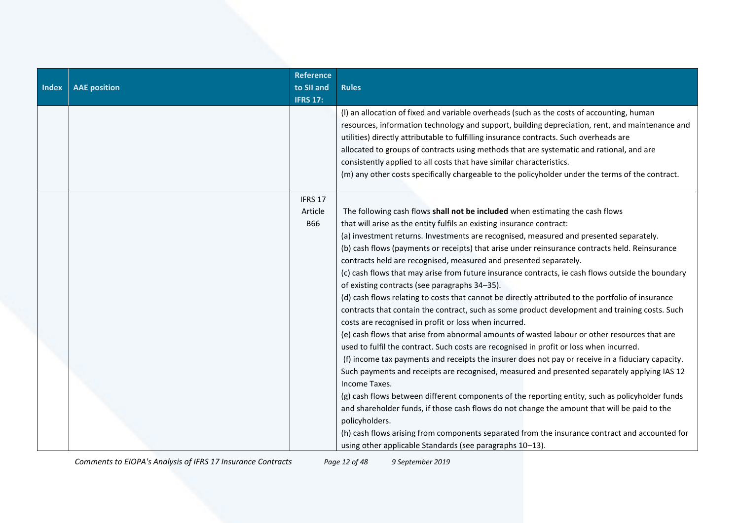| Index | <b>AAE position</b> | <b>Reference</b><br>to SII and<br><b>IFRS 17:</b> | <b>Rules</b>                                                                                                                                                                                                                                                                                                                                                                                                                                                                                                                                                                                                                                                                                                                                                                                                                                                                                                                                                                                                                                                                                                                                                                                                                                                                                                                                                                                                                                                                        |
|-------|---------------------|---------------------------------------------------|-------------------------------------------------------------------------------------------------------------------------------------------------------------------------------------------------------------------------------------------------------------------------------------------------------------------------------------------------------------------------------------------------------------------------------------------------------------------------------------------------------------------------------------------------------------------------------------------------------------------------------------------------------------------------------------------------------------------------------------------------------------------------------------------------------------------------------------------------------------------------------------------------------------------------------------------------------------------------------------------------------------------------------------------------------------------------------------------------------------------------------------------------------------------------------------------------------------------------------------------------------------------------------------------------------------------------------------------------------------------------------------------------------------------------------------------------------------------------------------|
|       |                     |                                                   | (I) an allocation of fixed and variable overheads (such as the costs of accounting, human<br>resources, information technology and support, building depreciation, rent, and maintenance and<br>utilities) directly attributable to fulfilling insurance contracts. Such overheads are<br>allocated to groups of contracts using methods that are systematic and rational, and are<br>consistently applied to all costs that have similar characteristics.<br>(m) any other costs specifically chargeable to the policyholder under the terms of the contract.                                                                                                                                                                                                                                                                                                                                                                                                                                                                                                                                                                                                                                                                                                                                                                                                                                                                                                                      |
|       |                     | IFRS 17                                           |                                                                                                                                                                                                                                                                                                                                                                                                                                                                                                                                                                                                                                                                                                                                                                                                                                                                                                                                                                                                                                                                                                                                                                                                                                                                                                                                                                                                                                                                                     |
|       |                     | Article<br><b>B66</b>                             | The following cash flows shall not be included when estimating the cash flows<br>that will arise as the entity fulfils an existing insurance contract:<br>(a) investment returns. Investments are recognised, measured and presented separately.<br>(b) cash flows (payments or receipts) that arise under reinsurance contracts held. Reinsurance<br>contracts held are recognised, measured and presented separately.<br>(c) cash flows that may arise from future insurance contracts, ie cash flows outside the boundary<br>of existing contracts (see paragraphs 34-35).<br>(d) cash flows relating to costs that cannot be directly attributed to the portfolio of insurance<br>contracts that contain the contract, such as some product development and training costs. Such<br>costs are recognised in profit or loss when incurred.<br>(e) cash flows that arise from abnormal amounts of wasted labour or other resources that are<br>used to fulfil the contract. Such costs are recognised in profit or loss when incurred.<br>(f) income tax payments and receipts the insurer does not pay or receive in a fiduciary capacity.<br>Such payments and receipts are recognised, measured and presented separately applying IAS 12<br>Income Taxes.<br>(g) cash flows between different components of the reporting entity, such as policyholder funds<br>and shareholder funds, if those cash flows do not change the amount that will be paid to the<br>policyholders. |
|       |                     |                                                   | (h) cash flows arising from components separated from the insurance contract and accounted for<br>using other applicable Standards (see paragraphs 10-13).                                                                                                                                                                                                                                                                                                                                                                                                                                                                                                                                                                                                                                                                                                                                                                                                                                                                                                                                                                                                                                                                                                                                                                                                                                                                                                                          |

*Comments to EIOPA's Analysis of IFRS 17 Insurance Contracts Page 12 of 48 9 September 2019*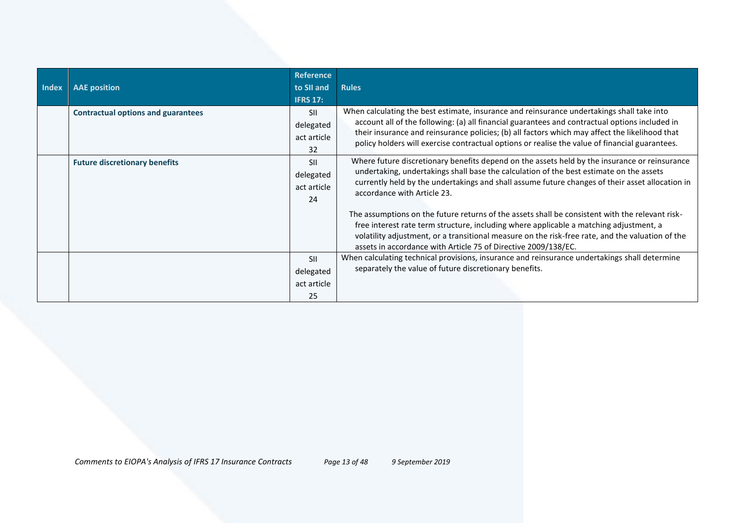| <b>Index</b> | <b>AAE</b> position                       | <b>Reference</b><br>to SII and<br><b>IFRS 17:</b> | <b>Rules</b>                                                                                                                                                                                                                                                                                                                                                                                                                                                                                                                                                                                                                                                                                  |
|--------------|-------------------------------------------|---------------------------------------------------|-----------------------------------------------------------------------------------------------------------------------------------------------------------------------------------------------------------------------------------------------------------------------------------------------------------------------------------------------------------------------------------------------------------------------------------------------------------------------------------------------------------------------------------------------------------------------------------------------------------------------------------------------------------------------------------------------|
|              | <b>Contractual options and guarantees</b> | <b>SII</b><br>delegated<br>act article<br>32      | When calculating the best estimate, insurance and reinsurance undertakings shall take into<br>account all of the following: (a) all financial guarantees and contractual options included in<br>their insurance and reinsurance policies; (b) all factors which may affect the likelihood that<br>policy holders will exercise contractual options or realise the value of financial guarantees.                                                                                                                                                                                                                                                                                              |
|              | <b>Future discretionary benefits</b>      | <b>SII</b><br>delegated<br>act article<br>24      | Where future discretionary benefits depend on the assets held by the insurance or reinsurance<br>undertaking, undertakings shall base the calculation of the best estimate on the assets<br>currently held by the undertakings and shall assume future changes of their asset allocation in<br>accordance with Article 23.<br>The assumptions on the future returns of the assets shall be consistent with the relevant risk-<br>free interest rate term structure, including where applicable a matching adjustment, a<br>volatility adjustment, or a transitional measure on the risk-free rate, and the valuation of the<br>assets in accordance with Article 75 of Directive 2009/138/EC. |
|              |                                           | <b>SII</b><br>delegated<br>act article<br>25      | When calculating technical provisions, insurance and reinsurance undertakings shall determine<br>separately the value of future discretionary benefits.                                                                                                                                                                                                                                                                                                                                                                                                                                                                                                                                       |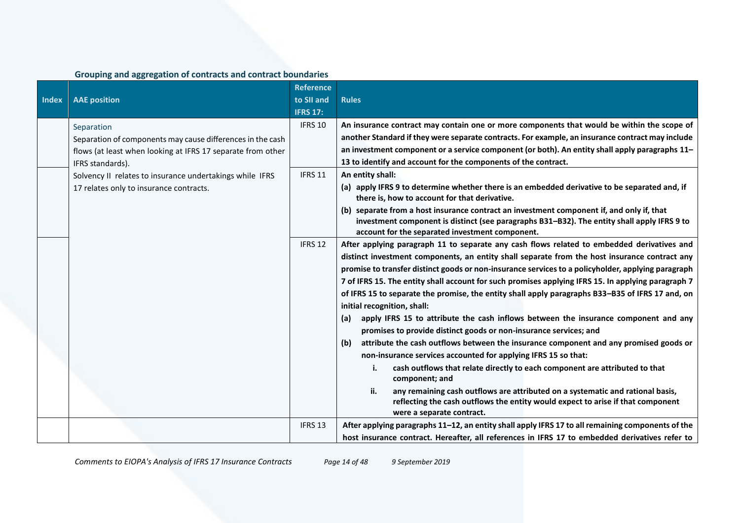# **Grouping and aggregation of contracts and contract boundaries**

|              |                                                             | <b>Reference</b> |                                                                                                                                                                                                       |
|--------------|-------------------------------------------------------------|------------------|-------------------------------------------------------------------------------------------------------------------------------------------------------------------------------------------------------|
| <b>Index</b> | <b>AAE</b> position                                         | to SII and       | <b>Rules</b>                                                                                                                                                                                          |
|              |                                                             | <b>IFRS 17:</b>  |                                                                                                                                                                                                       |
|              | Separation                                                  | IFRS 10          | An insurance contract may contain one or more components that would be within the scope of                                                                                                            |
|              | Separation of components may cause differences in the cash  |                  | another Standard if they were separate contracts. For example, an insurance contract may include                                                                                                      |
|              | flows (at least when looking at IFRS 17 separate from other |                  | an investment component or a service component (or both). An entity shall apply paragraphs 11-                                                                                                        |
|              | IFRS standards).                                            |                  | 13 to identify and account for the components of the contract.                                                                                                                                        |
|              | Solvency II relates to insurance undertakings while IFRS    | IFRS 11          | An entity shall:                                                                                                                                                                                      |
|              | 17 relates only to insurance contracts.                     |                  | (a) apply IFRS 9 to determine whether there is an embedded derivative to be separated and, if<br>there is, how to account for that derivative.                                                        |
|              |                                                             |                  | (b) separate from a host insurance contract an investment component if, and only if, that<br>investment component is distinct (see paragraphs B31-B32). The entity shall apply IFRS 9 to              |
|              |                                                             |                  | account for the separated investment component.                                                                                                                                                       |
|              |                                                             | IFRS 12          | After applying paragraph 11 to separate any cash flows related to embedded derivatives and                                                                                                            |
|              |                                                             |                  | distinct investment components, an entity shall separate from the host insurance contract any                                                                                                         |
|              |                                                             |                  | promise to transfer distinct goods or non-insurance services to a policyholder, applying paragraph                                                                                                    |
|              |                                                             |                  | 7 of IFRS 15. The entity shall account for such promises applying IFRS 15. In applying paragraph 7                                                                                                    |
|              |                                                             |                  | of IFRS 15 to separate the promise, the entity shall apply paragraphs B33-B35 of IFRS 17 and, on<br>initial recognition, shall:                                                                       |
|              |                                                             |                  | apply IFRS 15 to attribute the cash inflows between the insurance component and any<br>(a)                                                                                                            |
|              |                                                             |                  | promises to provide distinct goods or non-insurance services; and                                                                                                                                     |
|              |                                                             |                  | attribute the cash outflows between the insurance component and any promised goods or<br>(b)                                                                                                          |
|              |                                                             |                  | non-insurance services accounted for applying IFRS 15 so that:                                                                                                                                        |
|              |                                                             |                  | cash outflows that relate directly to each component are attributed to that<br>component; and                                                                                                         |
|              |                                                             |                  | any remaining cash outflows are attributed on a systematic and rational basis,<br>ii.<br>reflecting the cash outflows the entity would expect to arise if that component<br>were a separate contract. |
|              |                                                             | IFRS 13          | After applying paragraphs 11-12, an entity shall apply IFRS 17 to all remaining components of the                                                                                                     |
|              |                                                             |                  | host insurance contract. Hereafter, all references in IFRS 17 to embedded derivatives refer to                                                                                                        |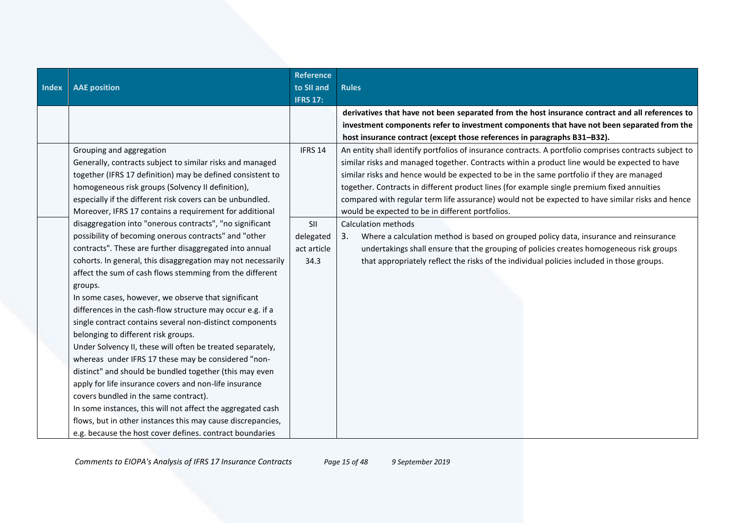| <b>Index</b> | <b>AAE</b> position                                                                                                                                                                                                                                                                                                                                                                                                                                                                                                                                                                                                                                                                                                                                                                                                                                                                                                                                                                                                      | <b>Reference</b><br>to SII and<br><b>IFRS 17:</b> | <b>Rules</b>                                                                                                                                                                                                                                                                                                                                                                                                                                                                                                                                               |
|--------------|--------------------------------------------------------------------------------------------------------------------------------------------------------------------------------------------------------------------------------------------------------------------------------------------------------------------------------------------------------------------------------------------------------------------------------------------------------------------------------------------------------------------------------------------------------------------------------------------------------------------------------------------------------------------------------------------------------------------------------------------------------------------------------------------------------------------------------------------------------------------------------------------------------------------------------------------------------------------------------------------------------------------------|---------------------------------------------------|------------------------------------------------------------------------------------------------------------------------------------------------------------------------------------------------------------------------------------------------------------------------------------------------------------------------------------------------------------------------------------------------------------------------------------------------------------------------------------------------------------------------------------------------------------|
|              |                                                                                                                                                                                                                                                                                                                                                                                                                                                                                                                                                                                                                                                                                                                                                                                                                                                                                                                                                                                                                          |                                                   | derivatives that have not been separated from the host insurance contract and all references to<br>investment components refer to investment components that have not been separated from the<br>host insurance contract (except those references in paragraphs B31-B32).                                                                                                                                                                                                                                                                                  |
|              | Grouping and aggregation<br>Generally, contracts subject to similar risks and managed<br>together (IFRS 17 definition) may be defined consistent to<br>homogeneous risk groups (Solvency II definition),<br>especially if the different risk covers can be unbundled.<br>Moreover, IFRS 17 contains a requirement for additional                                                                                                                                                                                                                                                                                                                                                                                                                                                                                                                                                                                                                                                                                         | IFRS 14                                           | An entity shall identify portfolios of insurance contracts. A portfolio comprises contracts subject to<br>similar risks and managed together. Contracts within a product line would be expected to have<br>similar risks and hence would be expected to be in the same portfolio if they are managed<br>together. Contracts in different product lines (for example single premium fixed annuities<br>compared with regular term life assurance) would not be expected to have similar risks and hence<br>would be expected to be in different portfolios. |
|              | disaggregation into "onerous contracts", "no significant<br>possibility of becoming onerous contracts" and "other<br>contracts". These are further disaggregated into annual<br>cohorts. In general, this disaggregation may not necessarily<br>affect the sum of cash flows stemming from the different<br>groups.<br>In some cases, however, we observe that significant<br>differences in the cash-flow structure may occur e.g. if a<br>single contract contains several non-distinct components<br>belonging to different risk groups.<br>Under Solvency II, these will often be treated separately,<br>whereas under IFRS 17 these may be considered "non-<br>distinct" and should be bundled together (this may even<br>apply for life insurance covers and non-life insurance<br>covers bundled in the same contract).<br>In some instances, this will not affect the aggregated cash<br>flows, but in other instances this may cause discrepancies,<br>e.g. because the host cover defines. contract boundaries | SII<br>delegated<br>act article<br>34.3           | <b>Calculation methods</b><br>Where a calculation method is based on grouped policy data, insurance and reinsurance<br>3.<br>undertakings shall ensure that the grouping of policies creates homogeneous risk groups<br>that appropriately reflect the risks of the individual policies included in those groups.                                                                                                                                                                                                                                          |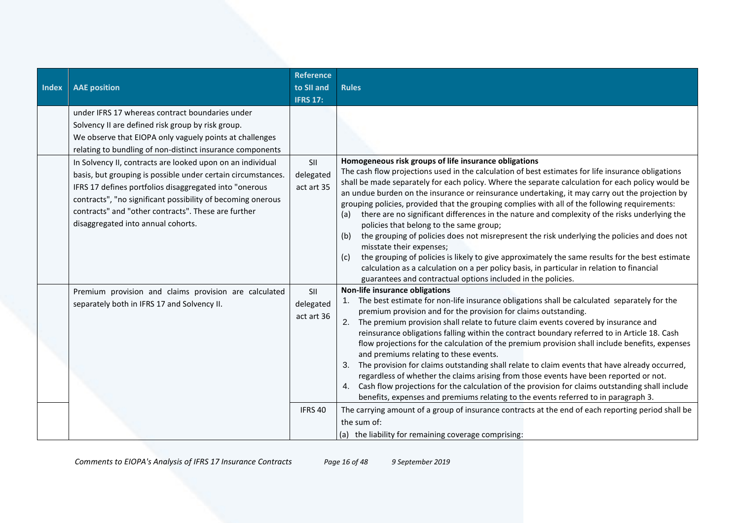| <b>Index</b> | <b>AAE</b> position                                                                                                                                                                                                                                                                                                                              | <b>Reference</b><br>to SII and<br><b>IFRS 17:</b> | <b>Rules</b>                                                                                                                                                                                                                                                                                                                                                                                                                                                                                                                                                                                                                                                                                                                                                                                                                                                                                                                                                                                                                        |
|--------------|--------------------------------------------------------------------------------------------------------------------------------------------------------------------------------------------------------------------------------------------------------------------------------------------------------------------------------------------------|---------------------------------------------------|-------------------------------------------------------------------------------------------------------------------------------------------------------------------------------------------------------------------------------------------------------------------------------------------------------------------------------------------------------------------------------------------------------------------------------------------------------------------------------------------------------------------------------------------------------------------------------------------------------------------------------------------------------------------------------------------------------------------------------------------------------------------------------------------------------------------------------------------------------------------------------------------------------------------------------------------------------------------------------------------------------------------------------------|
|              | under IFRS 17 whereas contract boundaries under<br>Solvency II are defined risk group by risk group.<br>We observe that EIOPA only vaguely points at challenges<br>relating to bundling of non-distinct insurance components                                                                                                                     |                                                   |                                                                                                                                                                                                                                                                                                                                                                                                                                                                                                                                                                                                                                                                                                                                                                                                                                                                                                                                                                                                                                     |
|              | In Solvency II, contracts are looked upon on an individual<br>basis, but grouping is possible under certain circumstances.<br>IFRS 17 defines portfolios disaggregated into "onerous<br>contracts", "no significant possibility of becoming onerous<br>contracts" and "other contracts". These are further<br>disaggregated into annual cohorts. | SII<br>delegated<br>act art 35                    | Homogeneous risk groups of life insurance obligations<br>The cash flow projections used in the calculation of best estimates for life insurance obligations<br>shall be made separately for each policy. Where the separate calculation for each policy would be<br>an undue burden on the insurance or reinsurance undertaking, it may carry out the projection by<br>grouping policies, provided that the grouping complies with all of the following requirements:<br>there are no significant differences in the nature and complexity of the risks underlying the<br>(a)<br>policies that belong to the same group;<br>the grouping of policies does not misrepresent the risk underlying the policies and does not<br>(b)<br>misstate their expenses;<br>the grouping of policies is likely to give approximately the same results for the best estimate<br>(c)<br>calculation as a calculation on a per policy basis, in particular in relation to financial<br>guarantees and contractual options included in the policies. |
|              | Premium provision and claims provision are calculated<br>separately both in IFRS 17 and Solvency II.                                                                                                                                                                                                                                             | SII<br>delegated<br>act art 36                    | Non-life insurance obligations<br>1. The best estimate for non-life insurance obligations shall be calculated separately for the<br>premium provision and for the provision for claims outstanding.<br>2. The premium provision shall relate to future claim events covered by insurance and<br>reinsurance obligations falling within the contract boundary referred to in Article 18. Cash<br>flow projections for the calculation of the premium provision shall include benefits, expenses<br>and premiums relating to these events.<br>3. The provision for claims outstanding shall relate to claim events that have already occurred,<br>regardless of whether the claims arising from those events have been reported or not.<br>4. Cash flow projections for the calculation of the provision for claims outstanding shall include<br>benefits, expenses and premiums relating to the events referred to in paragraph 3.                                                                                                   |
|              |                                                                                                                                                                                                                                                                                                                                                  | IFRS 40                                           | The carrying amount of a group of insurance contracts at the end of each reporting period shall be<br>the sum of:<br>(a) the liability for remaining coverage comprising:                                                                                                                                                                                                                                                                                                                                                                                                                                                                                                                                                                                                                                                                                                                                                                                                                                                           |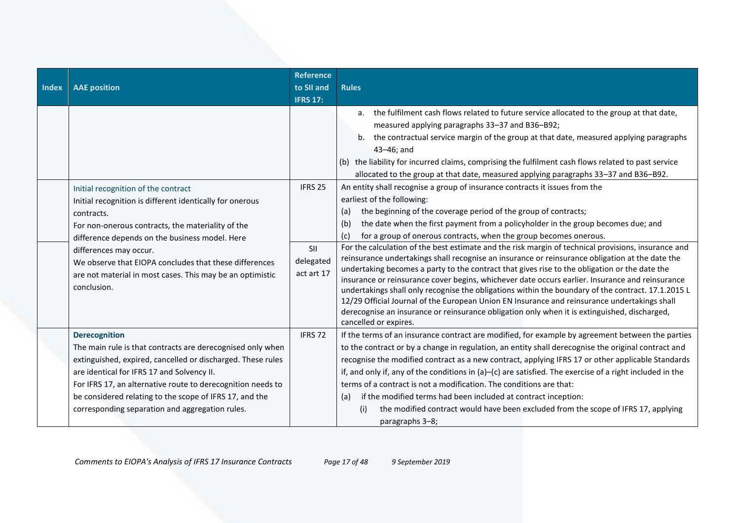| <b>Index</b> | <b>AAE</b> position                                                                                                                                                                                                                                                                                                                                                                  | <b>Reference</b><br>to SII and<br><b>IFRS 17:</b> | <b>Rules</b>                                                                                                                                                                                                                                                                                                                                                                                                                                                                                                                                                                                                                                                                                                                                                                                                                                                                                                                                                                                                                                                                    |
|--------------|--------------------------------------------------------------------------------------------------------------------------------------------------------------------------------------------------------------------------------------------------------------------------------------------------------------------------------------------------------------------------------------|---------------------------------------------------|---------------------------------------------------------------------------------------------------------------------------------------------------------------------------------------------------------------------------------------------------------------------------------------------------------------------------------------------------------------------------------------------------------------------------------------------------------------------------------------------------------------------------------------------------------------------------------------------------------------------------------------------------------------------------------------------------------------------------------------------------------------------------------------------------------------------------------------------------------------------------------------------------------------------------------------------------------------------------------------------------------------------------------------------------------------------------------|
|              |                                                                                                                                                                                                                                                                                                                                                                                      |                                                   | a. the fulfilment cash flows related to future service allocated to the group at that date,<br>measured applying paragraphs 33-37 and B36-B92;<br>the contractual service margin of the group at that date, measured applying paragraphs<br>b.<br>43-46; and<br>(b) the liability for incurred claims, comprising the fulfilment cash flows related to past service<br>allocated to the group at that date, measured applying paragraphs 33-37 and B36-B92.                                                                                                                                                                                                                                                                                                                                                                                                                                                                                                                                                                                                                     |
|              | Initial recognition of the contract<br>Initial recognition is different identically for onerous<br>contracts.<br>For non-onerous contracts, the materiality of the<br>difference depends on the business model. Here<br>differences may occur.<br>We observe that EIOPA concludes that these differences<br>are not material in most cases. This may be an optimistic<br>conclusion. | IFRS 25<br>SII<br>delegated<br>act art 17         | An entity shall recognise a group of insurance contracts it issues from the<br>earliest of the following:<br>the beginning of the coverage period of the group of contracts;<br>(a)<br>the date when the first payment from a policyholder in the group becomes due; and<br>(b)<br>for a group of onerous contracts, when the group becomes onerous.<br>(C)<br>For the calculation of the best estimate and the risk margin of technical provisions, insurance and<br>reinsurance undertakings shall recognise an insurance or reinsurance obligation at the date the<br>undertaking becomes a party to the contract that gives rise to the obligation or the date the<br>insurance or reinsurance cover begins, whichever date occurs earlier. Insurance and reinsurance<br>undertakings shall only recognise the obligations within the boundary of the contract. 17.1.2015 L<br>12/29 Official Journal of the European Union EN Insurance and reinsurance undertakings shall<br>derecognise an insurance or reinsurance obligation only when it is extinguished, discharged, |
|              | <b>Derecognition</b><br>The main rule is that contracts are derecognised only when<br>extinguished, expired, cancelled or discharged. These rules<br>are identical for IFRS 17 and Solvency II.<br>For IFRS 17, an alternative route to derecognition needs to<br>be considered relating to the scope of IFRS 17, and the<br>corresponding separation and aggregation rules.         | IFRS 72                                           | cancelled or expires.<br>If the terms of an insurance contract are modified, for example by agreement between the parties<br>to the contract or by a change in regulation, an entity shall derecognise the original contract and<br>recognise the modified contract as a new contract, applying IFRS 17 or other applicable Standards<br>if, and only if, any of the conditions in $(a)$ - $(c)$ are satisfied. The exercise of a right included in the<br>terms of a contract is not a modification. The conditions are that:<br>if the modified terms had been included at contract inception:<br>(a)<br>the modified contract would have been excluded from the scope of IFRS 17, applying<br>(i)<br>paragraphs 3-8;                                                                                                                                                                                                                                                                                                                                                         |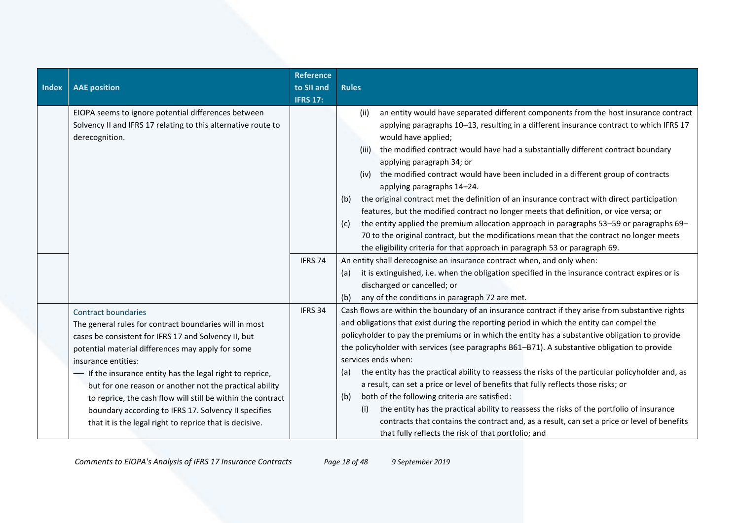| Index | <b>AAE</b> position                                                                                                                                                                                                                                                                                                                                                                                                                                                                                                                | <b>Reference</b><br>to SII and<br><b>IFRS 17:</b> | <b>Rules</b>                                                                                                                                                                                                                                                                                                                                                                                                                                                                                                                                                                                                                                                                                                                                                                                                                                                                                                                                   |
|-------|------------------------------------------------------------------------------------------------------------------------------------------------------------------------------------------------------------------------------------------------------------------------------------------------------------------------------------------------------------------------------------------------------------------------------------------------------------------------------------------------------------------------------------|---------------------------------------------------|------------------------------------------------------------------------------------------------------------------------------------------------------------------------------------------------------------------------------------------------------------------------------------------------------------------------------------------------------------------------------------------------------------------------------------------------------------------------------------------------------------------------------------------------------------------------------------------------------------------------------------------------------------------------------------------------------------------------------------------------------------------------------------------------------------------------------------------------------------------------------------------------------------------------------------------------|
|       | EIOPA seems to ignore potential differences between<br>Solvency II and IFRS 17 relating to this alternative route to<br>derecognition.                                                                                                                                                                                                                                                                                                                                                                                             |                                                   | an entity would have separated different components from the host insurance contract<br>(ii)<br>applying paragraphs 10-13, resulting in a different insurance contract to which IFRS 17<br>would have applied;<br>the modified contract would have had a substantially different contract boundary<br>(iii)<br>applying paragraph 34; or<br>(iv) the modified contract would have been included in a different group of contracts<br>applying paragraphs 14-24.<br>the original contract met the definition of an insurance contract with direct participation<br>(b)<br>features, but the modified contract no longer meets that definition, or vice versa; or<br>the entity applied the premium allocation approach in paragraphs 53-59 or paragraphs 69-<br>(c)<br>70 to the original contract, but the modifications mean that the contract no longer meets<br>the eligibility criteria for that approach in paragraph 53 or paragraph 69. |
|       |                                                                                                                                                                                                                                                                                                                                                                                                                                                                                                                                    | IFRS 74                                           | An entity shall derecognise an insurance contract when, and only when:<br>it is extinguished, i.e. when the obligation specified in the insurance contract expires or is<br>(a)<br>discharged or cancelled; or<br>any of the conditions in paragraph 72 are met.<br>(b)                                                                                                                                                                                                                                                                                                                                                                                                                                                                                                                                                                                                                                                                        |
|       | <b>Contract boundaries</b><br>The general rules for contract boundaries will in most<br>cases be consistent for IFRS 17 and Solvency II, but<br>potential material differences may apply for some<br>insurance entities:<br>- If the insurance entity has the legal right to reprice,<br>but for one reason or another not the practical ability<br>to reprice, the cash flow will still be within the contract<br>boundary according to IFRS 17. Solvency II specifies<br>that it is the legal right to reprice that is decisive. | IFRS 34                                           | Cash flows are within the boundary of an insurance contract if they arise from substantive rights<br>and obligations that exist during the reporting period in which the entity can compel the<br>policyholder to pay the premiums or in which the entity has a substantive obligation to provide<br>the policyholder with services (see paragraphs B61-B71). A substantive obligation to provide<br>services ends when:<br>the entity has the practical ability to reassess the risks of the particular policyholder and, as<br>(a)<br>a result, can set a price or level of benefits that fully reflects those risks; or<br>both of the following criteria are satisfied:<br>(b)<br>the entity has the practical ability to reassess the risks of the portfolio of insurance<br>(i)<br>contracts that contains the contract and, as a result, can set a price or level of benefits<br>that fully reflects the risk of that portfolio; and    |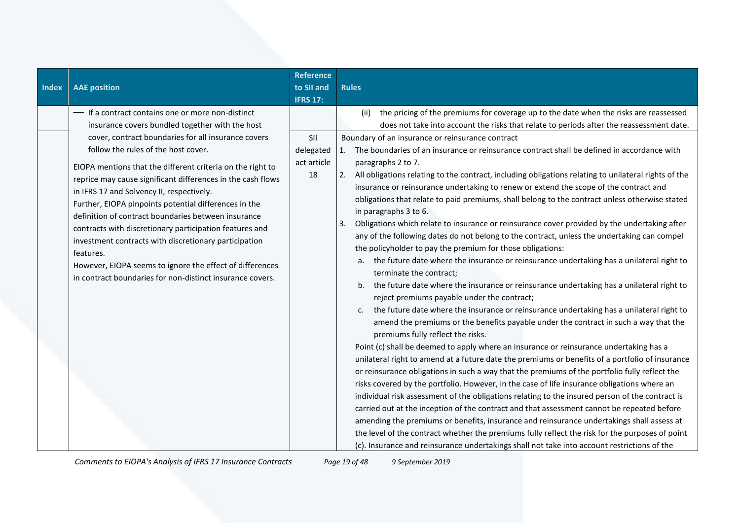| <b>Index</b> | <b>AAE</b> position                                                                                                                                                                                                                                                                                                                                                                                                                                                                                                                                                                                                                                                                                                                                    | <b>Reference</b><br>to SII and<br><b>IFRS 17:</b> | <b>Rules</b>                                                                                                                                                                                                                                                                                                                                                                                                                                                                                                                                                                                                                                                                                                                                                                                                                                                                                                                                                                                                                                                                                                                                                                                          |
|--------------|--------------------------------------------------------------------------------------------------------------------------------------------------------------------------------------------------------------------------------------------------------------------------------------------------------------------------------------------------------------------------------------------------------------------------------------------------------------------------------------------------------------------------------------------------------------------------------------------------------------------------------------------------------------------------------------------------------------------------------------------------------|---------------------------------------------------|-------------------------------------------------------------------------------------------------------------------------------------------------------------------------------------------------------------------------------------------------------------------------------------------------------------------------------------------------------------------------------------------------------------------------------------------------------------------------------------------------------------------------------------------------------------------------------------------------------------------------------------------------------------------------------------------------------------------------------------------------------------------------------------------------------------------------------------------------------------------------------------------------------------------------------------------------------------------------------------------------------------------------------------------------------------------------------------------------------------------------------------------------------------------------------------------------------|
|              | - If a contract contains one or more non-distinct<br>insurance covers bundled together with the host<br>cover, contract boundaries for all insurance covers<br>follow the rules of the host cover.<br>EIOPA mentions that the different criteria on the right to<br>reprice may cause significant differences in the cash flows<br>in IFRS 17 and Solvency II, respectively.<br>Further, EIOPA pinpoints potential differences in the<br>definition of contract boundaries between insurance<br>contracts with discretionary participation features and<br>investment contracts with discretionary participation<br>features.<br>However, EIOPA seems to ignore the effect of differences<br>in contract boundaries for non-distinct insurance covers. | SII<br>delegated<br>act article<br>18             | the pricing of the premiums for coverage up to the date when the risks are reassessed<br>(ii)<br>does not take into account the risks that relate to periods after the reassessment date.<br>Boundary of an insurance or reinsurance contract<br>1. The boundaries of an insurance or reinsurance contract shall be defined in accordance with<br>paragraphs 2 to 7.<br>All obligations relating to the contract, including obligations relating to unilateral rights of the<br>2.<br>insurance or reinsurance undertaking to renew or extend the scope of the contract and<br>obligations that relate to paid premiums, shall belong to the contract unless otherwise stated<br>in paragraphs 3 to 6.<br>Obligations which relate to insurance or reinsurance cover provided by the undertaking after<br>3.<br>any of the following dates do not belong to the contract, unless the undertaking can compel<br>the policyholder to pay the premium for those obligations:<br>a. the future date where the insurance or reinsurance undertaking has a unilateral right to<br>terminate the contract;<br>the future date where the insurance or reinsurance undertaking has a unilateral right to<br>b. |
|              |                                                                                                                                                                                                                                                                                                                                                                                                                                                                                                                                                                                                                                                                                                                                                        |                                                   | reject premiums payable under the contract;<br>the future date where the insurance or reinsurance undertaking has a unilateral right to<br>c.<br>amend the premiums or the benefits payable under the contract in such a way that the<br>premiums fully reflect the risks.<br>Point (c) shall be deemed to apply where an insurance or reinsurance undertaking has a<br>unilateral right to amend at a future date the premiums or benefits of a portfolio of insurance<br>or reinsurance obligations in such a way that the premiums of the portfolio fully reflect the<br>risks covered by the portfolio. However, in the case of life insurance obligations where an<br>individual risk assessment of the obligations relating to the insured person of the contract is<br>carried out at the inception of the contract and that assessment cannot be repeated before<br>amending the premiums or benefits, insurance and reinsurance undertakings shall assess at<br>the level of the contract whether the premiums fully reflect the risk for the purposes of point<br>(c). Insurance and reinsurance undertakings shall not take into account restrictions of the                               |

*Comments to EIOPA's Analysis of IFRS 17 Insurance Contracts Page 19 of 48 9 September 2019*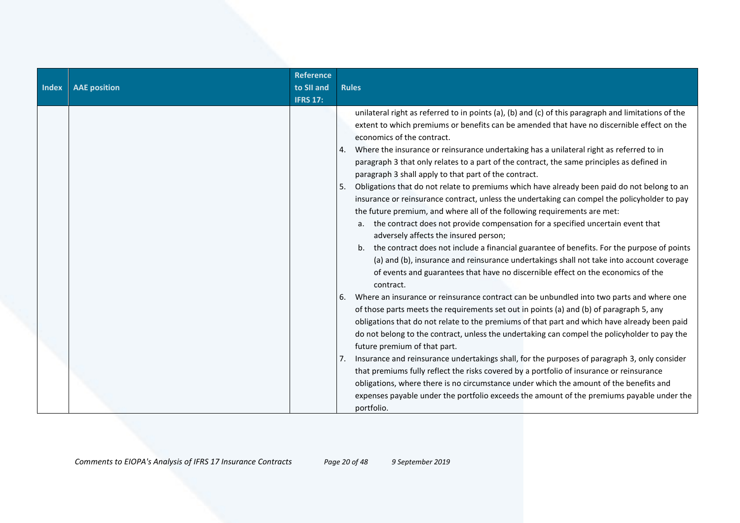| Index | <b>AAE position</b> | <b>Reference</b><br>to SII and<br><b>IFRS 17:</b> | <b>Rules</b>                                                                                                                                                                                                                                                                                                                                                                                                                                                                                                                                                                                                                                                                                                                                                                                                                                                                                                                                                                                                                                                                                                                                                                                                                                                                                                                                                                                                                                                                                                                                                                                                                                                                                                                                                                                                                                                                                                             |
|-------|---------------------|---------------------------------------------------|--------------------------------------------------------------------------------------------------------------------------------------------------------------------------------------------------------------------------------------------------------------------------------------------------------------------------------------------------------------------------------------------------------------------------------------------------------------------------------------------------------------------------------------------------------------------------------------------------------------------------------------------------------------------------------------------------------------------------------------------------------------------------------------------------------------------------------------------------------------------------------------------------------------------------------------------------------------------------------------------------------------------------------------------------------------------------------------------------------------------------------------------------------------------------------------------------------------------------------------------------------------------------------------------------------------------------------------------------------------------------------------------------------------------------------------------------------------------------------------------------------------------------------------------------------------------------------------------------------------------------------------------------------------------------------------------------------------------------------------------------------------------------------------------------------------------------------------------------------------------------------------------------------------------------|
|       |                     |                                                   | unilateral right as referred to in points (a), (b) and (c) of this paragraph and limitations of the<br>extent to which premiums or benefits can be amended that have no discernible effect on the<br>economics of the contract.<br>Where the insurance or reinsurance undertaking has a unilateral right as referred to in<br>paragraph 3 that only relates to a part of the contract, the same principles as defined in<br>paragraph 3 shall apply to that part of the contract.<br>Obligations that do not relate to premiums which have already been paid do not belong to an<br>5.<br>insurance or reinsurance contract, unless the undertaking can compel the policyholder to pay<br>the future premium, and where all of the following requirements are met:<br>a. the contract does not provide compensation for a specified uncertain event that<br>adversely affects the insured person;<br>b. the contract does not include a financial guarantee of benefits. For the purpose of points<br>(a) and (b), insurance and reinsurance undertakings shall not take into account coverage<br>of events and guarantees that have no discernible effect on the economics of the<br>contract.<br>Where an insurance or reinsurance contract can be unbundled into two parts and where one<br>6.<br>of those parts meets the requirements set out in points (a) and (b) of paragraph 5, any<br>obligations that do not relate to the premiums of that part and which have already been paid<br>do not belong to the contract, unless the undertaking can compel the policyholder to pay the<br>future premium of that part.<br>Insurance and reinsurance undertakings shall, for the purposes of paragraph 3, only consider<br>7.<br>that premiums fully reflect the risks covered by a portfolio of insurance or reinsurance<br>obligations, where there is no circumstance under which the amount of the benefits and |
|       |                     |                                                   | expenses payable under the portfolio exceeds the amount of the premiums payable under the<br>portfolio.                                                                                                                                                                                                                                                                                                                                                                                                                                                                                                                                                                                                                                                                                                                                                                                                                                                                                                                                                                                                                                                                                                                                                                                                                                                                                                                                                                                                                                                                                                                                                                                                                                                                                                                                                                                                                  |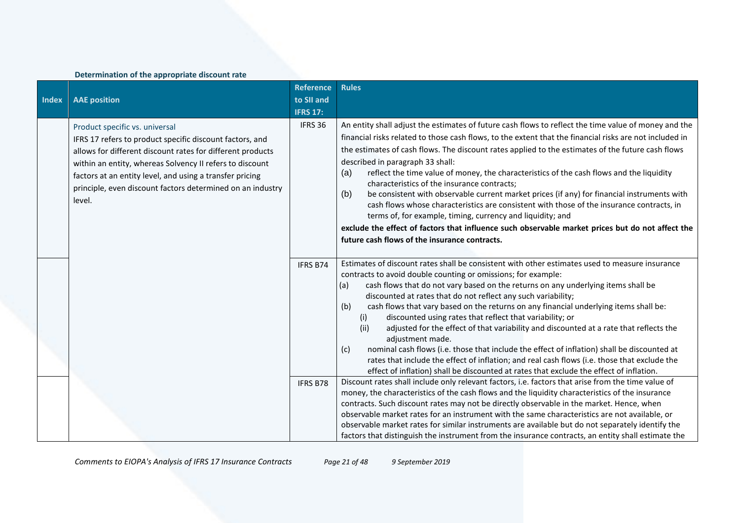## **Determination of the appropriate discount rate**

|              |                                                                                                                                                                                                                                                                                                                                                          | <b>Reference</b>     | <b>Rules</b>                                                                                                                                                                                                                                                                                                                                                                                                                                                                                                                                                                                                                                                                                                                                                                                                                                                                                                                                                                                                                 |
|--------------|----------------------------------------------------------------------------------------------------------------------------------------------------------------------------------------------------------------------------------------------------------------------------------------------------------------------------------------------------------|----------------------|------------------------------------------------------------------------------------------------------------------------------------------------------------------------------------------------------------------------------------------------------------------------------------------------------------------------------------------------------------------------------------------------------------------------------------------------------------------------------------------------------------------------------------------------------------------------------------------------------------------------------------------------------------------------------------------------------------------------------------------------------------------------------------------------------------------------------------------------------------------------------------------------------------------------------------------------------------------------------------------------------------------------------|
| <b>Index</b> | <b>AAE</b> position                                                                                                                                                                                                                                                                                                                                      | to SII and           |                                                                                                                                                                                                                                                                                                                                                                                                                                                                                                                                                                                                                                                                                                                                                                                                                                                                                                                                                                                                                              |
|              |                                                                                                                                                                                                                                                                                                                                                          | <b>IFRS 17:</b>      |                                                                                                                                                                                                                                                                                                                                                                                                                                                                                                                                                                                                                                                                                                                                                                                                                                                                                                                                                                                                                              |
|              | Product specific vs. universal<br>IFRS 17 refers to product specific discount factors, and<br>allows for different discount rates for different products<br>within an entity, whereas Solvency II refers to discount<br>factors at an entity level, and using a transfer pricing<br>principle, even discount factors determined on an industry<br>level. | IFRS 36              | An entity shall adjust the estimates of future cash flows to reflect the time value of money and the<br>financial risks related to those cash flows, to the extent that the financial risks are not included in<br>the estimates of cash flows. The discount rates applied to the estimates of the future cash flows<br>described in paragraph 33 shall:<br>(a)<br>reflect the time value of money, the characteristics of the cash flows and the liquidity<br>characteristics of the insurance contracts;<br>be consistent with observable current market prices (if any) for financial instruments with<br>(b)<br>cash flows whose characteristics are consistent with those of the insurance contracts, in<br>terms of, for example, timing, currency and liquidity; and<br>exclude the effect of factors that influence such observable market prices but do not affect the<br>future cash flows of the insurance contracts.                                                                                             |
|              |                                                                                                                                                                                                                                                                                                                                                          | IFRS B74<br>IFRS B78 | Estimates of discount rates shall be consistent with other estimates used to measure insurance<br>contracts to avoid double counting or omissions; for example:<br>cash flows that do not vary based on the returns on any underlying items shall be<br>(a)<br>discounted at rates that do not reflect any such variability;<br>(b)<br>cash flows that vary based on the returns on any financial underlying items shall be:<br>discounted using rates that reflect that variability; or<br>(i)<br>(ii)<br>adjusted for the effect of that variability and discounted at a rate that reflects the<br>adjustment made.<br>nominal cash flows (i.e. those that include the effect of inflation) shall be discounted at<br>(c)<br>rates that include the effect of inflation; and real cash flows (i.e. those that exclude the<br>effect of inflation) shall be discounted at rates that exclude the effect of inflation.<br>Discount rates shall include only relevant factors, i.e. factors that arise from the time value of |
|              |                                                                                                                                                                                                                                                                                                                                                          |                      | money, the characteristics of the cash flows and the liquidity characteristics of the insurance<br>contracts. Such discount rates may not be directly observable in the market. Hence, when<br>observable market rates for an instrument with the same characteristics are not available, or<br>observable market rates for similar instruments are available but do not separately identify the<br>factors that distinguish the instrument from the insurance contracts, an entity shall estimate the                                                                                                                                                                                                                                                                                                                                                                                                                                                                                                                       |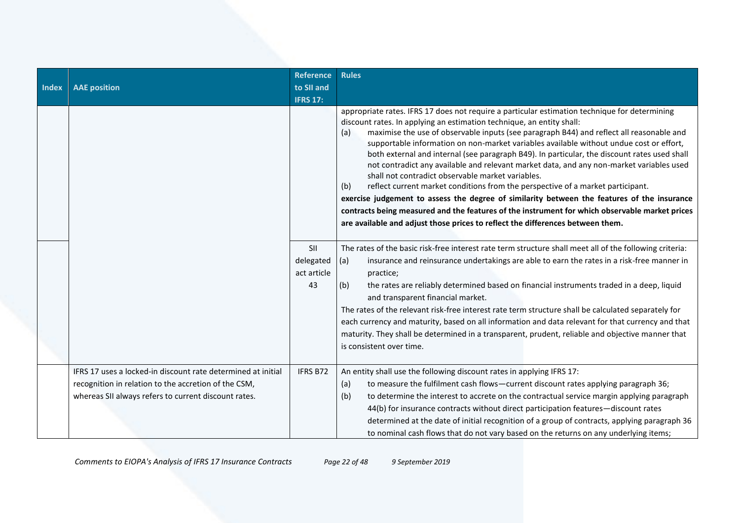| Index | <b>AAE</b> position                                                                                                                                                          | <b>Reference</b><br>to SII and<br><b>IFRS 17:</b> | <b>Rules</b>                                                                                                                                                                                                                                                                                                                                                                                                                                                                                                                                                                                                                                                                                                                                                                                                                                                                                                                                                                                       |
|-------|------------------------------------------------------------------------------------------------------------------------------------------------------------------------------|---------------------------------------------------|----------------------------------------------------------------------------------------------------------------------------------------------------------------------------------------------------------------------------------------------------------------------------------------------------------------------------------------------------------------------------------------------------------------------------------------------------------------------------------------------------------------------------------------------------------------------------------------------------------------------------------------------------------------------------------------------------------------------------------------------------------------------------------------------------------------------------------------------------------------------------------------------------------------------------------------------------------------------------------------------------|
|       |                                                                                                                                                                              |                                                   | appropriate rates. IFRS 17 does not require a particular estimation technique for determining<br>discount rates. In applying an estimation technique, an entity shall:<br>maximise the use of observable inputs (see paragraph B44) and reflect all reasonable and<br>(a)<br>supportable information on non-market variables available without undue cost or effort,<br>both external and internal (see paragraph B49). In particular, the discount rates used shall<br>not contradict any available and relevant market data, and any non-market variables used<br>shall not contradict observable market variables.<br>reflect current market conditions from the perspective of a market participant.<br>(b)<br>exercise judgement to assess the degree of similarity between the features of the insurance<br>contracts being measured and the features of the instrument for which observable market prices<br>are available and adjust those prices to reflect the differences between them. |
|       |                                                                                                                                                                              | SII<br>delegated<br>act article<br>43             | The rates of the basic risk-free interest rate term structure shall meet all of the following criteria:<br>insurance and reinsurance undertakings are able to earn the rates in a risk-free manner in<br>(a)<br>practice;<br>the rates are reliably determined based on financial instruments traded in a deep, liquid<br>(b)<br>and transparent financial market.<br>The rates of the relevant risk-free interest rate term structure shall be calculated separately for<br>each currency and maturity, based on all information and data relevant for that currency and that<br>maturity. They shall be determined in a transparent, prudent, reliable and objective manner that<br>is consistent over time.                                                                                                                                                                                                                                                                                     |
|       | IFRS 17 uses a locked-in discount rate determined at initial<br>recognition in relation to the accretion of the CSM,<br>whereas SII always refers to current discount rates. | IFRS B72                                          | An entity shall use the following discount rates in applying IFRS 17:<br>to measure the fulfilment cash flows-current discount rates applying paragraph 36;<br>(a)<br>to determine the interest to accrete on the contractual service margin applying paragraph<br>(b)<br>44(b) for insurance contracts without direct participation features-discount rates<br>determined at the date of initial recognition of a group of contracts, applying paragraph 36<br>to nominal cash flows that do not vary based on the returns on any underlying items;                                                                                                                                                                                                                                                                                                                                                                                                                                               |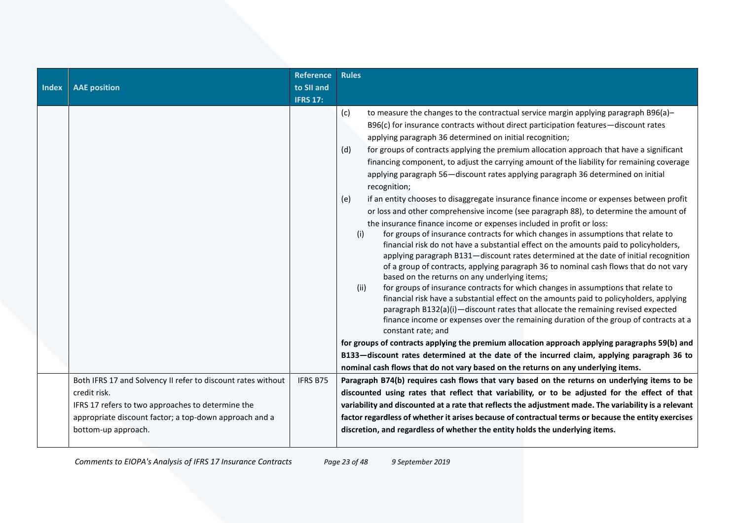| <b>Index</b> | <b>AAE position</b>                                          | <b>Reference</b><br>to SII and<br><b>IFRS 17:</b> | <b>Rules</b>                                                                                                                                                                                                                                                                                                                                                                                                                                                                                                                                                                                                                                                                                                                                                                                                                                                                                                                                                                                                                                                                                                                                                                                                                                                                                                                                                                                                                                                                                                                                                                                                                                                                                                                                                                                                                                                                                                                  |
|--------------|--------------------------------------------------------------|---------------------------------------------------|-------------------------------------------------------------------------------------------------------------------------------------------------------------------------------------------------------------------------------------------------------------------------------------------------------------------------------------------------------------------------------------------------------------------------------------------------------------------------------------------------------------------------------------------------------------------------------------------------------------------------------------------------------------------------------------------------------------------------------------------------------------------------------------------------------------------------------------------------------------------------------------------------------------------------------------------------------------------------------------------------------------------------------------------------------------------------------------------------------------------------------------------------------------------------------------------------------------------------------------------------------------------------------------------------------------------------------------------------------------------------------------------------------------------------------------------------------------------------------------------------------------------------------------------------------------------------------------------------------------------------------------------------------------------------------------------------------------------------------------------------------------------------------------------------------------------------------------------------------------------------------------------------------------------------------|
|              |                                                              |                                                   | (c)<br>to measure the changes to the contractual service margin applying paragraph B96(a)-<br>B96(c) for insurance contracts without direct participation features-discount rates<br>applying paragraph 36 determined on initial recognition;<br>for groups of contracts applying the premium allocation approach that have a significant<br>(d)<br>financing component, to adjust the carrying amount of the liability for remaining coverage<br>applying paragraph 56-discount rates applying paragraph 36 determined on initial<br>recognition;<br>if an entity chooses to disaggregate insurance finance income or expenses between profit<br>(e)<br>or loss and other comprehensive income (see paragraph 88), to determine the amount of<br>the insurance finance income or expenses included in profit or loss:<br>for groups of insurance contracts for which changes in assumptions that relate to<br>(i)<br>financial risk do not have a substantial effect on the amounts paid to policyholders,<br>applying paragraph B131-discount rates determined at the date of initial recognition<br>of a group of contracts, applying paragraph 36 to nominal cash flows that do not vary<br>based on the returns on any underlying items;<br>(ii)<br>for groups of insurance contracts for which changes in assumptions that relate to<br>financial risk have a substantial effect on the amounts paid to policyholders, applying<br>paragraph B132(a)(i)-discount rates that allocate the remaining revised expected<br>finance income or expenses over the remaining duration of the group of contracts at a<br>constant rate; and<br>for groups of contracts applying the premium allocation approach applying paragraphs 59(b) and<br>B133-discount rates determined at the date of the incurred claim, applying paragraph 36 to<br>nominal cash flows that do not vary based on the returns on any underlying items. |
|              | Both IFRS 17 and Solvency II refer to discount rates without | IFRS B75                                          | Paragraph B74(b) requires cash flows that vary based on the returns on underlying items to be                                                                                                                                                                                                                                                                                                                                                                                                                                                                                                                                                                                                                                                                                                                                                                                                                                                                                                                                                                                                                                                                                                                                                                                                                                                                                                                                                                                                                                                                                                                                                                                                                                                                                                                                                                                                                                 |
|              | credit risk.                                                 |                                                   | discounted using rates that reflect that variability, or to be adjusted for the effect of that                                                                                                                                                                                                                                                                                                                                                                                                                                                                                                                                                                                                                                                                                                                                                                                                                                                                                                                                                                                                                                                                                                                                                                                                                                                                                                                                                                                                                                                                                                                                                                                                                                                                                                                                                                                                                                |
|              | IFRS 17 refers to two approaches to determine the            |                                                   | variability and discounted at a rate that reflects the adjustment made. The variability is a relevant                                                                                                                                                                                                                                                                                                                                                                                                                                                                                                                                                                                                                                                                                                                                                                                                                                                                                                                                                                                                                                                                                                                                                                                                                                                                                                                                                                                                                                                                                                                                                                                                                                                                                                                                                                                                                         |
|              | appropriate discount factor; a top-down approach and a       |                                                   | factor regardless of whether it arises because of contractual terms or because the entity exercises                                                                                                                                                                                                                                                                                                                                                                                                                                                                                                                                                                                                                                                                                                                                                                                                                                                                                                                                                                                                                                                                                                                                                                                                                                                                                                                                                                                                                                                                                                                                                                                                                                                                                                                                                                                                                           |
|              | bottom-up approach.                                          |                                                   | discretion, and regardless of whether the entity holds the underlying items.                                                                                                                                                                                                                                                                                                                                                                                                                                                                                                                                                                                                                                                                                                                                                                                                                                                                                                                                                                                                                                                                                                                                                                                                                                                                                                                                                                                                                                                                                                                                                                                                                                                                                                                                                                                                                                                  |
|              |                                                              |                                                   |                                                                                                                                                                                                                                                                                                                                                                                                                                                                                                                                                                                                                                                                                                                                                                                                                                                                                                                                                                                                                                                                                                                                                                                                                                                                                                                                                                                                                                                                                                                                                                                                                                                                                                                                                                                                                                                                                                                               |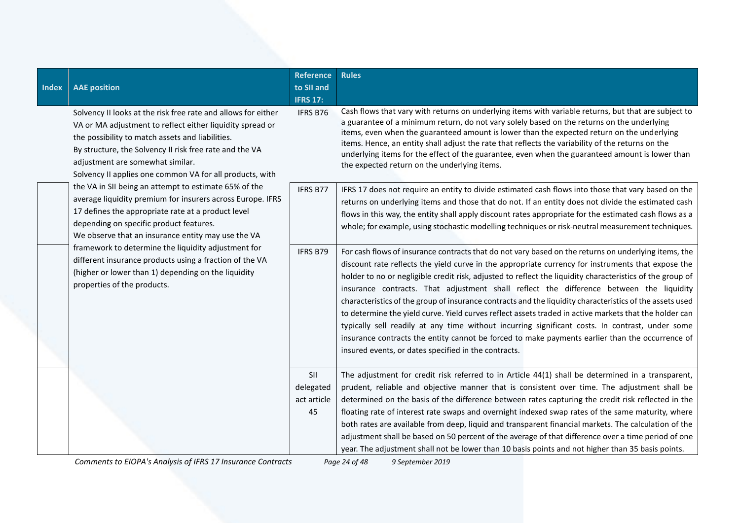| <b>Index</b> | <b>AAE position</b>                                                                                                                                                                                                                                                                                                                                                                                                                                                                                                                                                                                                                                                                                                                                                                                                             | <b>Reference</b><br>to SII and<br><b>IFRS 17:</b> | <b>Rules</b>                                                                                                                                                                                                                                                                                                                                                                                                                                                                                                                                                                                                                                                                                                                                                                                                                                                                                           |
|--------------|---------------------------------------------------------------------------------------------------------------------------------------------------------------------------------------------------------------------------------------------------------------------------------------------------------------------------------------------------------------------------------------------------------------------------------------------------------------------------------------------------------------------------------------------------------------------------------------------------------------------------------------------------------------------------------------------------------------------------------------------------------------------------------------------------------------------------------|---------------------------------------------------|--------------------------------------------------------------------------------------------------------------------------------------------------------------------------------------------------------------------------------------------------------------------------------------------------------------------------------------------------------------------------------------------------------------------------------------------------------------------------------------------------------------------------------------------------------------------------------------------------------------------------------------------------------------------------------------------------------------------------------------------------------------------------------------------------------------------------------------------------------------------------------------------------------|
|              | Solvency II looks at the risk free rate and allows for either<br>VA or MA adjustment to reflect either liquidity spread or<br>the possibility to match assets and liabilities.<br>By structure, the Solvency II risk free rate and the VA<br>adjustment are somewhat similar.<br>Solvency II applies one common VA for all products, with<br>the VA in SII being an attempt to estimate 65% of the<br>average liquidity premium for insurers across Europe. IFRS<br>17 defines the appropriate rate at a product level<br>depending on specific product features.<br>We observe that an insurance entity may use the VA<br>framework to determine the liquidity adjustment for<br>different insurance products using a fraction of the VA<br>(higher or lower than 1) depending on the liquidity<br>properties of the products. | <b>IFRS B76</b>                                   | Cash flows that vary with returns on underlying items with variable returns, but that are subject to<br>a guarantee of a minimum return, do not vary solely based on the returns on the underlying<br>items, even when the guaranteed amount is lower than the expected return on the underlying<br>items. Hence, an entity shall adjust the rate that reflects the variability of the returns on the<br>underlying items for the effect of the guarantee, even when the guaranteed amount is lower than<br>the expected return on the underlying items.                                                                                                                                                                                                                                                                                                                                               |
|              |                                                                                                                                                                                                                                                                                                                                                                                                                                                                                                                                                                                                                                                                                                                                                                                                                                 | IFRS B77                                          | IFRS 17 does not require an entity to divide estimated cash flows into those that vary based on the<br>returns on underlying items and those that do not. If an entity does not divide the estimated cash<br>flows in this way, the entity shall apply discount rates appropriate for the estimated cash flows as a<br>whole; for example, using stochastic modelling techniques or risk-neutral measurement techniques.                                                                                                                                                                                                                                                                                                                                                                                                                                                                               |
|              |                                                                                                                                                                                                                                                                                                                                                                                                                                                                                                                                                                                                                                                                                                                                                                                                                                 | IFRS B79                                          | For cash flows of insurance contracts that do not vary based on the returns on underlying items, the<br>discount rate reflects the yield curve in the appropriate currency for instruments that expose the<br>holder to no or negligible credit risk, adjusted to reflect the liquidity characteristics of the group of<br>insurance contracts. That adjustment shall reflect the difference between the liquidity<br>characteristics of the group of insurance contracts and the liquidity characteristics of the assets used<br>to determine the yield curve. Yield curves reflect assets traded in active markets that the holder can<br>typically sell readily at any time without incurring significant costs. In contrast, under some<br>insurance contracts the entity cannot be forced to make payments earlier than the occurrence of<br>insured events, or dates specified in the contracts. |
|              |                                                                                                                                                                                                                                                                                                                                                                                                                                                                                                                                                                                                                                                                                                                                                                                                                                 | SII<br>delegated<br>act article<br>45             | The adjustment for credit risk referred to in Article 44(1) shall be determined in a transparent,<br>prudent, reliable and objective manner that is consistent over time. The adjustment shall be<br>determined on the basis of the difference between rates capturing the credit risk reflected in the<br>floating rate of interest rate swaps and overnight indexed swap rates of the same maturity, where<br>both rates are available from deep, liquid and transparent financial markets. The calculation of the<br>adjustment shall be based on 50 percent of the average of that difference over a time period of one<br>year. The adjustment shall not be lower than 10 basis points and not higher than 35 basis points.                                                                                                                                                                       |

*Comments to EIOPA's Analysis of IFRS 17 Insurance Contracts Page 24 of 48 9 September 2019*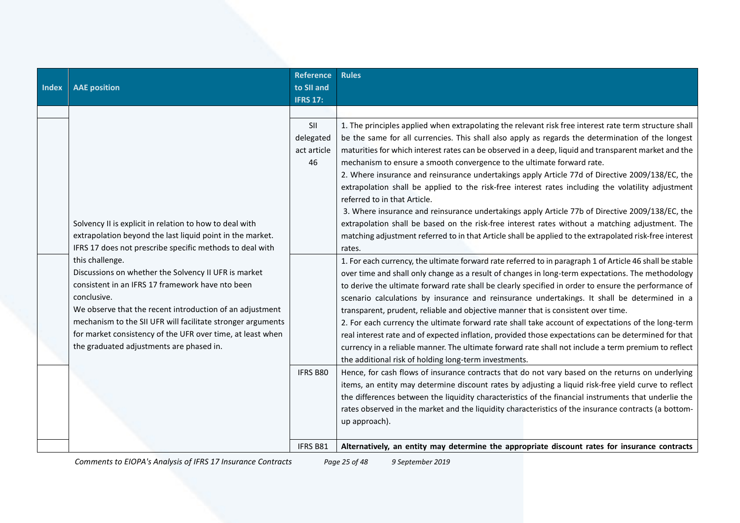| Index | <b>AAE</b> position                                                                                                                                                                                                                                                                                                                                                             | <b>Reference</b><br>to SII and<br><b>IFRS 17:</b> | <b>Rules</b>                                                                                                                                                                                                                                                                                                                                                                                                                                                                                                                                                                                                                                                                                                                                                                                                                                                                              |
|-------|---------------------------------------------------------------------------------------------------------------------------------------------------------------------------------------------------------------------------------------------------------------------------------------------------------------------------------------------------------------------------------|---------------------------------------------------|-------------------------------------------------------------------------------------------------------------------------------------------------------------------------------------------------------------------------------------------------------------------------------------------------------------------------------------------------------------------------------------------------------------------------------------------------------------------------------------------------------------------------------------------------------------------------------------------------------------------------------------------------------------------------------------------------------------------------------------------------------------------------------------------------------------------------------------------------------------------------------------------|
|       |                                                                                                                                                                                                                                                                                                                                                                                 | SII<br>delegated<br>act article<br>46             | 1. The principles applied when extrapolating the relevant risk free interest rate term structure shall<br>be the same for all currencies. This shall also apply as regards the determination of the longest<br>maturities for which interest rates can be observed in a deep, liquid and transparent market and the<br>mechanism to ensure a smooth convergence to the ultimate forward rate.<br>2. Where insurance and reinsurance undertakings apply Article 77d of Directive 2009/138/EC, the<br>extrapolation shall be applied to the risk-free interest rates including the volatility adjustment<br>referred to in that Article.                                                                                                                                                                                                                                                    |
|       | Solvency II is explicit in relation to how to deal with<br>extrapolation beyond the last liquid point in the market.<br>IFRS 17 does not prescribe specific methods to deal with                                                                                                                                                                                                |                                                   | 3. Where insurance and reinsurance undertakings apply Article 77b of Directive 2009/138/EC, the<br>extrapolation shall be based on the risk-free interest rates without a matching adjustment. The<br>matching adjustment referred to in that Article shall be applied to the extrapolated risk-free interest<br>rates.                                                                                                                                                                                                                                                                                                                                                                                                                                                                                                                                                                   |
|       | this challenge.<br>Discussions on whether the Solvency II UFR is market<br>consistent in an IFRS 17 framework have nto been<br>conclusive.<br>We observe that the recent introduction of an adjustment<br>mechanism to the SII UFR will facilitate stronger arguments<br>for market consistency of the UFR over time, at least when<br>the graduated adjustments are phased in. |                                                   | 1. For each currency, the ultimate forward rate referred to in paragraph 1 of Article 46 shall be stable<br>over time and shall only change as a result of changes in long-term expectations. The methodology<br>to derive the ultimate forward rate shall be clearly specified in order to ensure the performance of<br>scenario calculations by insurance and reinsurance undertakings. It shall be determined in a<br>transparent, prudent, reliable and objective manner that is consistent over time.<br>2. For each currency the ultimate forward rate shall take account of expectations of the long-term<br>real interest rate and of expected inflation, provided those expectations can be determined for that<br>currency in a reliable manner. The ultimate forward rate shall not include a term premium to reflect<br>the additional risk of holding long-term investments. |
|       |                                                                                                                                                                                                                                                                                                                                                                                 | IFRS B80                                          | Hence, for cash flows of insurance contracts that do not vary based on the returns on underlying<br>items, an entity may determine discount rates by adjusting a liquid risk-free yield curve to reflect<br>the differences between the liquidity characteristics of the financial instruments that underlie the<br>rates observed in the market and the liquidity characteristics of the insurance contracts (a bottom-<br>up approach).                                                                                                                                                                                                                                                                                                                                                                                                                                                 |
|       |                                                                                                                                                                                                                                                                                                                                                                                 | <b>IFRS B81</b>                                   | Alternatively, an entity may determine the appropriate discount rates for insurance contracts                                                                                                                                                                                                                                                                                                                                                                                                                                                                                                                                                                                                                                                                                                                                                                                             |

*Comments to EIOPA's Analysis of IFRS 17 Insurance Contracts Page 25 of 48 9 September 2019*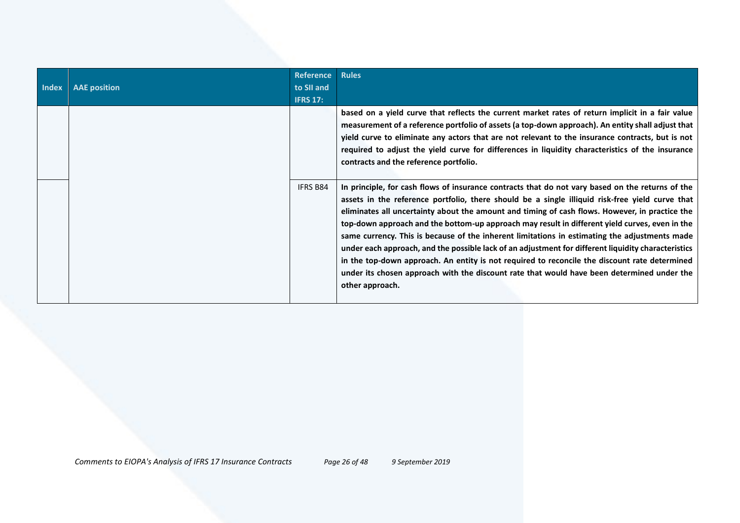| <b>Index</b> | <b>AAE</b> position | <b>Reference</b><br>to SII and<br><b>IFRS 17:</b> | <b>Rules</b>                                                                                                                                                                                                                                                                                                                                                                                                                                                                                                                                                                                                                                                                                                                                                                                                                      |
|--------------|---------------------|---------------------------------------------------|-----------------------------------------------------------------------------------------------------------------------------------------------------------------------------------------------------------------------------------------------------------------------------------------------------------------------------------------------------------------------------------------------------------------------------------------------------------------------------------------------------------------------------------------------------------------------------------------------------------------------------------------------------------------------------------------------------------------------------------------------------------------------------------------------------------------------------------|
|              |                     |                                                   | based on a yield curve that reflects the current market rates of return implicit in a fair value<br>measurement of a reference portfolio of assets (a top-down approach). An entity shall adjust that<br>yield curve to eliminate any actors that are not relevant to the insurance contracts, but is not<br>required to adjust the yield curve for differences in liquidity characteristics of the insurance<br>contracts and the reference portfolio.                                                                                                                                                                                                                                                                                                                                                                           |
|              |                     | <b>IFRS B84</b>                                   | In principle, for cash flows of insurance contracts that do not vary based on the returns of the<br>assets in the reference portfolio, there should be a single illiquid risk-free yield curve that<br>eliminates all uncertainty about the amount and timing of cash flows. However, in practice the<br>top-down approach and the bottom-up approach may result in different yield curves, even in the<br>same currency. This is because of the inherent limitations in estimating the adjustments made<br>under each approach, and the possible lack of an adjustment for different liquidity characteristics<br>in the top-down approach. An entity is not required to reconcile the discount rate determined<br>under its chosen approach with the discount rate that would have been determined under the<br>other approach. |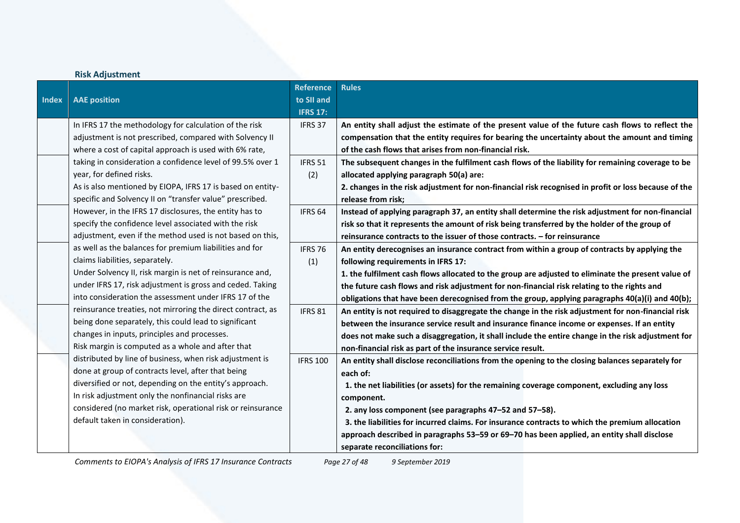|              | <b>Risk Adjustment</b>                                      |                    |                                                                                                      |
|--------------|-------------------------------------------------------------|--------------------|------------------------------------------------------------------------------------------------------|
|              |                                                             | <b>Reference</b>   | <b>Rules</b>                                                                                         |
| <b>Index</b> | <b>AAE</b> position                                         | to SII and         |                                                                                                      |
|              |                                                             | <b>IFRS 17:</b>    |                                                                                                      |
|              | In IFRS 17 the methodology for calculation of the risk      | IFRS 37            | An entity shall adjust the estimate of the present value of the future cash flows to reflect the     |
|              | adjustment is not prescribed, compared with Solvency II     |                    | compensation that the entity requires for bearing the uncertainty about the amount and timing        |
|              | where a cost of capital approach is used with 6% rate,      |                    | of the cash flows that arises from non-financial risk.                                               |
|              | taking in consideration a confidence level of 99.5% over 1  | IFRS 51            | The subsequent changes in the fulfilment cash flows of the liability for remaining coverage to be    |
|              | year, for defined risks.                                    | (2)                | allocated applying paragraph 50(a) are:                                                              |
|              | As is also mentioned by EIOPA, IFRS 17 is based on entity-  |                    | 2. changes in the risk adjustment for non-financial risk recognised in profit or loss because of the |
|              | specific and Solvency II on "transfer value" prescribed.    |                    | release from risk;                                                                                   |
|              | However, in the IFRS 17 disclosures, the entity has to      | IFRS <sub>64</sub> | Instead of applying paragraph 37, an entity shall determine the risk adjustment for non-financial    |
|              | specify the confidence level associated with the risk       |                    | risk so that it represents the amount of risk being transferred by the holder of the group of        |
|              | adjustment, even if the method used is not based on this,   |                    | reinsurance contracts to the issuer of those contracts. - for reinsurance                            |
|              | as well as the balances for premium liabilities and for     | IFRS 76            | An entity derecognises an insurance contract from within a group of contracts by applying the        |
|              | claims liabilities, separately.                             | (1)                | following requirements in IFRS 17:                                                                   |
|              | Under Solvency II, risk margin is net of reinsurance and,   |                    | 1. the fulfilment cash flows allocated to the group are adjusted to eliminate the present value of   |
|              | under IFRS 17, risk adjustment is gross and ceded. Taking   |                    | the future cash flows and risk adjustment for non-financial risk relating to the rights and          |
|              | into consideration the assessment under IFRS 17 of the      |                    | obligations that have been derecognised from the group, applying paragraphs 40(a)(i) and 40(b);      |
|              | reinsurance treaties, not mirroring the direct contract, as | IFRS 81            | An entity is not required to disaggregate the change in the risk adjustment for non-financial risk   |
|              | being done separately, this could lead to significant       |                    | between the insurance service result and insurance finance income or expenses. If an entity          |
|              | changes in inputs, principles and processes.                |                    | does not make such a disaggregation, it shall include the entire change in the risk adjustment for   |
|              | Risk margin is computed as a whole and after that           |                    | non-financial risk as part of the insurance service result.                                          |
|              | distributed by line of business, when risk adjustment is    | <b>IFRS 100</b>    | An entity shall disclose reconciliations from the opening to the closing balances separately for     |
|              | done at group of contracts level, after that being          |                    | each of:                                                                                             |
|              | diversified or not, depending on the entity's approach.     |                    | 1. the net liabilities (or assets) for the remaining coverage component, excluding any loss          |
|              | In risk adjustment only the nonfinancial risks are          |                    | component.                                                                                           |
|              | considered (no market risk, operational risk or reinsurance |                    | 2. any loss component (see paragraphs 47-52 and 57-58).                                              |
|              | default taken in consideration).                            |                    | 3. the liabilities for incurred claims. For insurance contracts to which the premium allocation      |
|              |                                                             |                    | approach described in paragraphs 53-59 or 69-70 has been applied, an entity shall disclose           |
|              |                                                             |                    | separate reconciliations for:                                                                        |

*Comments to EIOPA's Analysis of IFRS 17 Insurance Contracts Page 27 of 48 9 September 2019*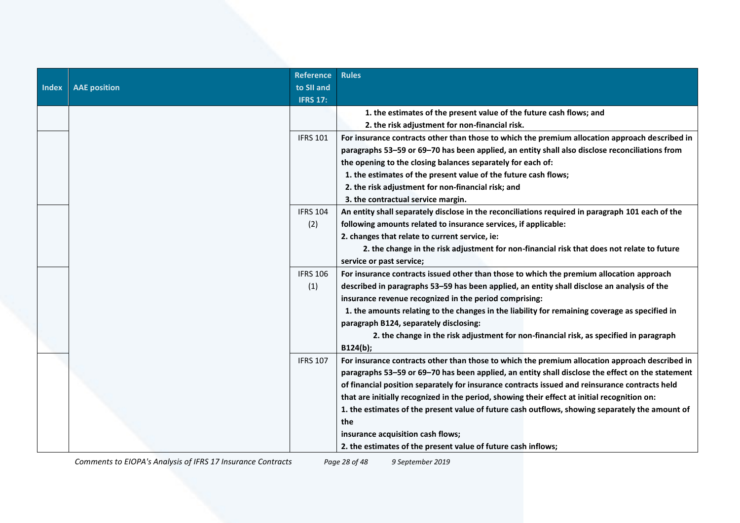|              |                     | <b>Reference</b> | <b>Rules</b>                                                                                     |
|--------------|---------------------|------------------|--------------------------------------------------------------------------------------------------|
| <b>Index</b> | <b>AAE</b> position | to SII and       |                                                                                                  |
|              |                     | <b>IFRS 17:</b>  |                                                                                                  |
|              |                     |                  | 1. the estimates of the present value of the future cash flows; and                              |
|              |                     |                  | 2. the risk adjustment for non-financial risk.                                                   |
|              |                     | <b>IFRS 101</b>  | For insurance contracts other than those to which the premium allocation approach described in   |
|              |                     |                  | paragraphs 53-59 or 69-70 has been applied, an entity shall also disclose reconciliations from   |
|              |                     |                  | the opening to the closing balances separately for each of:                                      |
|              |                     |                  | 1. the estimates of the present value of the future cash flows;                                  |
|              |                     |                  | 2. the risk adjustment for non-financial risk; and                                               |
|              |                     |                  | 3. the contractual service margin.                                                               |
|              |                     | <b>IFRS 104</b>  | An entity shall separately disclose in the reconciliations required in paragraph 101 each of the |
|              |                     | (2)              | following amounts related to insurance services, if applicable:                                  |
|              |                     |                  | 2. changes that relate to current service, ie:                                                   |
|              |                     |                  | 2. the change in the risk adjustment for non-financial risk that does not relate to future       |
|              |                     |                  | service or past service;                                                                         |
|              |                     | <b>IFRS 106</b>  | For insurance contracts issued other than those to which the premium allocation approach         |
|              |                     | (1)              | described in paragraphs 53-59 has been applied, an entity shall disclose an analysis of the      |
|              |                     |                  | insurance revenue recognized in the period comprising:                                           |
|              |                     |                  | 1. the amounts relating to the changes in the liability for remaining coverage as specified in   |
|              |                     |                  | paragraph B124, separately disclosing:                                                           |
|              |                     |                  | 2. the change in the risk adjustment for non-financial risk, as specified in paragraph           |
|              |                     |                  | B124(b);                                                                                         |
|              |                     | <b>IFRS 107</b>  | For insurance contracts other than those to which the premium allocation approach described in   |
|              |                     |                  | paragraphs 53-59 or 69-70 has been applied, an entity shall disclose the effect on the statement |
|              |                     |                  | of financial position separately for insurance contracts issued and reinsurance contracts held   |
|              |                     |                  | that are initially recognized in the period, showing their effect at initial recognition on:     |
|              |                     |                  | 1. the estimates of the present value of future cash outflows, showing separately the amount of  |
|              |                     |                  | the                                                                                              |
|              |                     |                  | insurance acquisition cash flows;                                                                |
|              |                     |                  | 2. the estimates of the present value of future cash inflows;                                    |

*Comments to EIOPA's Analysis of IFRS 17 Insurance Contracts Page 28 of 48 9 September 2019*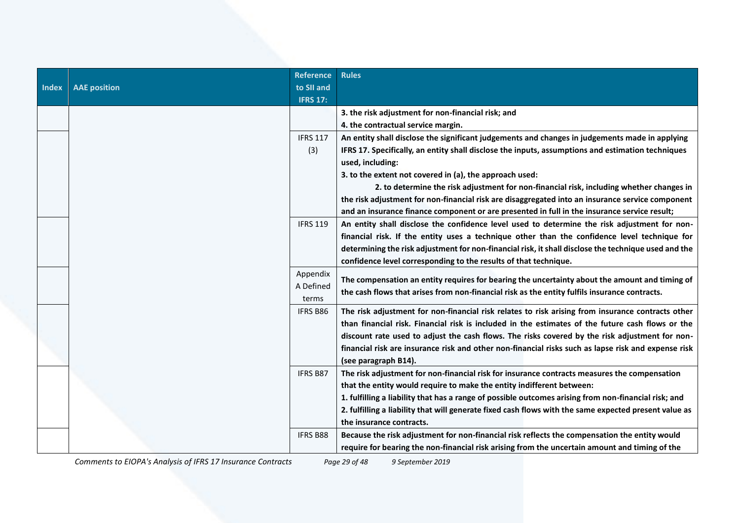|              |                     | <b>Reference</b> | <b>Rules</b>                                                                                          |
|--------------|---------------------|------------------|-------------------------------------------------------------------------------------------------------|
| <b>Index</b> | <b>AAE</b> position | to SII and       |                                                                                                       |
|              |                     | <b>IFRS 17:</b>  |                                                                                                       |
|              |                     |                  | 3. the risk adjustment for non-financial risk; and                                                    |
|              |                     |                  | 4. the contractual service margin.                                                                    |
|              |                     | <b>IFRS 117</b>  | An entity shall disclose the significant judgements and changes in judgements made in applying        |
|              |                     | (3)              | IFRS 17. Specifically, an entity shall disclose the inputs, assumptions and estimation techniques     |
|              |                     |                  | used, including:                                                                                      |
|              |                     |                  | 3. to the extent not covered in (a), the approach used:                                               |
|              |                     |                  | 2. to determine the risk adjustment for non-financial risk, including whether changes in              |
|              |                     |                  | the risk adjustment for non-financial risk are disaggregated into an insurance service component      |
|              |                     |                  | and an insurance finance component or are presented in full in the insurance service result;          |
|              |                     | <b>IFRS 119</b>  | An entity shall disclose the confidence level used to determine the risk adjustment for non-          |
|              |                     |                  | financial risk. If the entity uses a technique other than the confidence level technique for          |
|              |                     |                  | determining the risk adjustment for non-financial risk, it shall disclose the technique used and the  |
|              |                     |                  | confidence level corresponding to the results of that technique.                                      |
|              |                     | Appendix         |                                                                                                       |
|              |                     | A Defined        | The compensation an entity requires for bearing the uncertainty about the amount and timing of        |
|              |                     | terms            | the cash flows that arises from non-financial risk as the entity fulfils insurance contracts.         |
|              |                     | IFRS B86         | The risk adjustment for non-financial risk relates to risk arising from insurance contracts other     |
|              |                     |                  | than financial risk. Financial risk is included in the estimates of the future cash flows or the      |
|              |                     |                  | discount rate used to adjust the cash flows. The risks covered by the risk adjustment for non-        |
|              |                     |                  | financial risk are insurance risk and other non-financial risks such as lapse risk and expense risk   |
|              |                     |                  | (see paragraph B14).                                                                                  |
|              |                     | <b>IFRS B87</b>  | The risk adjustment for non-financial risk for insurance contracts measures the compensation          |
|              |                     |                  | that the entity would require to make the entity indifferent between:                                 |
|              |                     |                  | 1. fulfilling a liability that has a range of possible outcomes arising from non-financial risk; and  |
|              |                     |                  | 2. fulfilling a liability that will generate fixed cash flows with the same expected present value as |
|              |                     |                  | the insurance contracts.                                                                              |
|              |                     | IFRS B88         | Because the risk adjustment for non-financial risk reflects the compensation the entity would         |
|              |                     |                  | require for bearing the non-financial risk arising from the uncertain amount and timing of the        |

*Comments to EIOPA's Analysis of IFRS 17 Insurance Contracts Page 29 of 48 9 September 2019*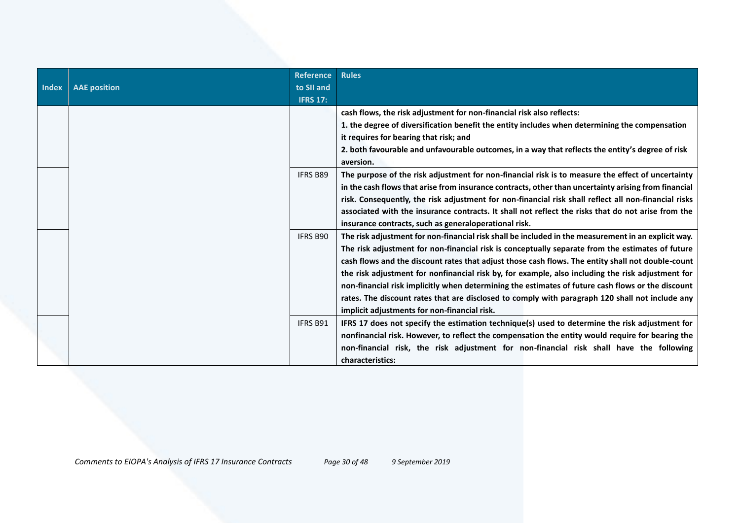|              |                     | <b>Reference</b> | <b>Rules</b>                                                                                         |
|--------------|---------------------|------------------|------------------------------------------------------------------------------------------------------|
| <b>Index</b> | <b>AAE</b> position | to SII and       |                                                                                                      |
|              |                     | <b>IFRS 17:</b>  |                                                                                                      |
|              |                     |                  | cash flows, the risk adjustment for non-financial risk also reflects:                                |
|              |                     |                  | 1. the degree of diversification benefit the entity includes when determining the compensation       |
|              |                     |                  | it requires for bearing that risk; and                                                               |
|              |                     |                  | 2. both favourable and unfavourable outcomes, in a way that reflects the entity's degree of risk     |
|              |                     |                  | aversion.                                                                                            |
|              |                     | <b>IFRS B89</b>  | The purpose of the risk adjustment for non-financial risk is to measure the effect of uncertainty    |
|              |                     |                  | in the cash flows that arise from insurance contracts, other than uncertainty arising from financial |
|              |                     |                  | risk. Consequently, the risk adjustment for non-financial risk shall reflect all non-financial risks |
|              |                     |                  | associated with the insurance contracts. It shall not reflect the risks that do not arise from the   |
|              |                     |                  | insurance contracts, such as generaloperational risk.                                                |
|              |                     | <b>IFRS B90</b>  | The risk adjustment for non-financial risk shall be included in the measurement in an explicit way.  |
|              |                     |                  | The risk adjustment for non-financial risk is conceptually separate from the estimates of future     |
|              |                     |                  | cash flows and the discount rates that adjust those cash flows. The entity shall not double-count    |
|              |                     |                  | the risk adjustment for nonfinancial risk by, for example, also including the risk adjustment for    |
|              |                     |                  | non-financial risk implicitly when determining the estimates of future cash flows or the discount    |
|              |                     |                  | rates. The discount rates that are disclosed to comply with paragraph 120 shall not include any      |
|              |                     |                  | implicit adjustments for non-financial risk.                                                         |
|              |                     | <b>IFRS B91</b>  | IFRS 17 does not specify the estimation technique(s) used to determine the risk adjustment for       |
|              |                     |                  | nonfinancial risk. However, to reflect the compensation the entity would require for bearing the     |
|              |                     |                  | non-financial risk, the risk adjustment for non-financial risk shall have the following              |
|              |                     |                  | characteristics:                                                                                     |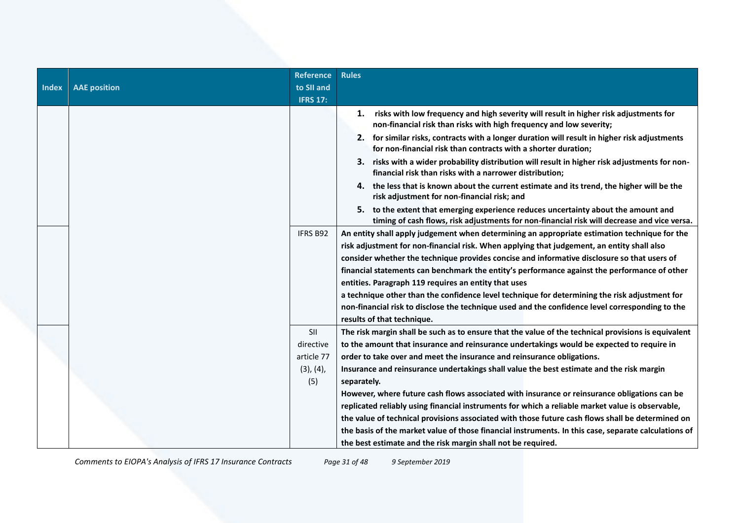| <b>Index</b> | <b>AAE</b> position | <b>Reference</b><br>to SII and | <b>Rules</b>                                                                                                                                                                      |
|--------------|---------------------|--------------------------------|-----------------------------------------------------------------------------------------------------------------------------------------------------------------------------------|
|              |                     | <b>IFRS 17:</b>                |                                                                                                                                                                                   |
|              |                     |                                | risks with low frequency and high severity will result in higher risk adjustments for<br>1.<br>non-financial risk than risks with high frequency and low severity;                |
|              |                     |                                | 2. for similar risks, contracts with a longer duration will result in higher risk adjustments<br>for non-financial risk than contracts with a shorter duration;                   |
|              |                     |                                | 3. risks with a wider probability distribution will result in higher risk adjustments for non-<br>financial risk than risks with a narrower distribution;                         |
|              |                     |                                | 4. the less that is known about the current estimate and its trend, the higher will be the<br>risk adjustment for non-financial risk; and                                         |
|              |                     |                                | 5. to the extent that emerging experience reduces uncertainty about the amount and<br>timing of cash flows, risk adjustments for non-financial risk will decrease and vice versa. |
|              |                     | IFRS B92                       | An entity shall apply judgement when determining an appropriate estimation technique for the                                                                                      |
|              |                     |                                | risk adjustment for non-financial risk. When applying that judgement, an entity shall also                                                                                        |
|              |                     |                                | consider whether the technique provides concise and informative disclosure so that users of                                                                                       |
|              |                     |                                | financial statements can benchmark the entity's performance against the performance of other                                                                                      |
|              |                     |                                | entities. Paragraph 119 requires an entity that uses                                                                                                                              |
|              |                     |                                | a technique other than the confidence level technique for determining the risk adjustment for                                                                                     |
|              |                     |                                | non-financial risk to disclose the technique used and the confidence level corresponding to the                                                                                   |
|              |                     |                                | results of that technique.                                                                                                                                                        |
|              |                     | <b>SII</b>                     | The risk margin shall be such as to ensure that the value of the technical provisions is equivalent                                                                               |
|              |                     | directive                      | to the amount that insurance and reinsurance undertakings would be expected to require in                                                                                         |
|              |                     | article 77                     | order to take over and meet the insurance and reinsurance obligations.                                                                                                            |
|              |                     | (3), (4),                      | Insurance and reinsurance undertakings shall value the best estimate and the risk margin                                                                                          |
|              |                     | (5)                            | separately.                                                                                                                                                                       |
|              |                     |                                | However, where future cash flows associated with insurance or reinsurance obligations can be                                                                                      |
|              |                     |                                | replicated reliably using financial instruments for which a reliable market value is observable,                                                                                  |
|              |                     |                                | the value of technical provisions associated with those future cash flows shall be determined on                                                                                  |
|              |                     |                                | the basis of the market value of those financial instruments. In this case, separate calculations of                                                                              |
|              |                     |                                | the best estimate and the risk margin shall not be required.                                                                                                                      |

*Comments to EIOPA's Analysis of IFRS 17 Insurance Contracts Page 31 of 48 9 September 2019*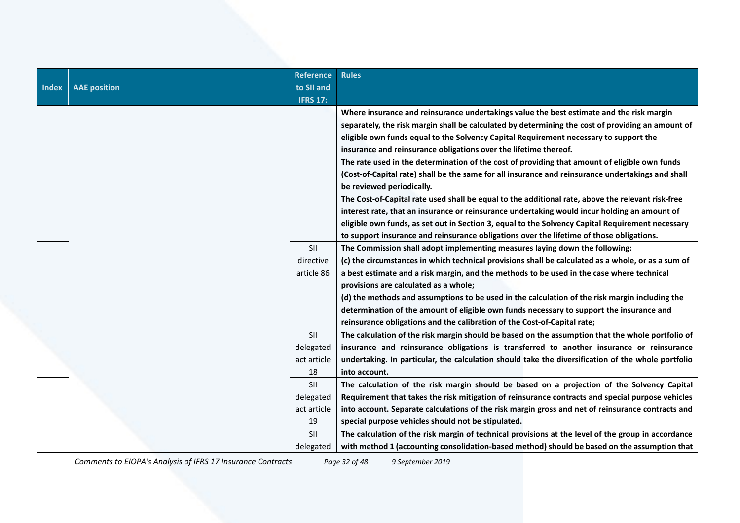|              |                     | <b>Reference</b> | <b>Rules</b>                                                                                                                                                                                  |
|--------------|---------------------|------------------|-----------------------------------------------------------------------------------------------------------------------------------------------------------------------------------------------|
| <b>Index</b> | <b>AAE</b> position | to SII and       |                                                                                                                                                                                               |
|              |                     | <b>IFRS 17:</b>  |                                                                                                                                                                                               |
|              |                     |                  | Where insurance and reinsurance undertakings value the best estimate and the risk margin<br>separately, the risk margin shall be calculated by determining the cost of providing an amount of |
|              |                     |                  |                                                                                                                                                                                               |
|              |                     |                  | eligible own funds equal to the Solvency Capital Requirement necessary to support the                                                                                                         |
|              |                     |                  | insurance and reinsurance obligations over the lifetime thereof.                                                                                                                              |
|              |                     |                  | The rate used in the determination of the cost of providing that amount of eligible own funds                                                                                                 |
|              |                     |                  | (Cost-of-Capital rate) shall be the same for all insurance and reinsurance undertakings and shall                                                                                             |
|              |                     |                  | be reviewed periodically.                                                                                                                                                                     |
|              |                     |                  | The Cost-of-Capital rate used shall be equal to the additional rate, above the relevant risk-free                                                                                             |
|              |                     |                  | interest rate, that an insurance or reinsurance undertaking would incur holding an amount of                                                                                                  |
|              |                     |                  | eligible own funds, as set out in Section 3, equal to the Solvency Capital Requirement necessary                                                                                              |
|              |                     |                  | to support insurance and reinsurance obligations over the lifetime of those obligations.                                                                                                      |
|              |                     | SII              | The Commission shall adopt implementing measures laying down the following:                                                                                                                   |
|              |                     | directive        | (c) the circumstances in which technical provisions shall be calculated as a whole, or as a sum of                                                                                            |
|              |                     | article 86       | a best estimate and a risk margin, and the methods to be used in the case where technical                                                                                                     |
|              |                     |                  | provisions are calculated as a whole;                                                                                                                                                         |
|              |                     |                  | (d) the methods and assumptions to be used in the calculation of the risk margin including the                                                                                                |
|              |                     |                  | determination of the amount of eligible own funds necessary to support the insurance and                                                                                                      |
|              |                     |                  | reinsurance obligations and the calibration of the Cost-of-Capital rate;                                                                                                                      |
|              |                     | SII              | The calculation of the risk margin should be based on the assumption that the whole portfolio of                                                                                              |
|              |                     | delegated        | insurance and reinsurance obligations is transferred to another insurance or reinsurance                                                                                                      |
|              |                     | act article      | undertaking. In particular, the calculation should take the diversification of the whole portfolio                                                                                            |
|              |                     | 18               | into account.                                                                                                                                                                                 |
|              |                     | SII              | The calculation of the risk margin should be based on a projection of the Solvency Capital                                                                                                    |
|              |                     | delegated        | Requirement that takes the risk mitigation of reinsurance contracts and special purpose vehicles                                                                                              |
|              |                     | act article      | into account. Separate calculations of the risk margin gross and net of reinsurance contracts and                                                                                             |
|              |                     | 19               | special purpose vehicles should not be stipulated.                                                                                                                                            |
|              |                     | <b>SII</b>       | The calculation of the risk margin of technical provisions at the level of the group in accordance                                                                                            |
|              |                     | delegated        | with method 1 (accounting consolidation-based method) should be based on the assumption that                                                                                                  |

*Comments to EIOPA's Analysis of IFRS 17 Insurance Contracts Page 32 of 48 9 September 2019*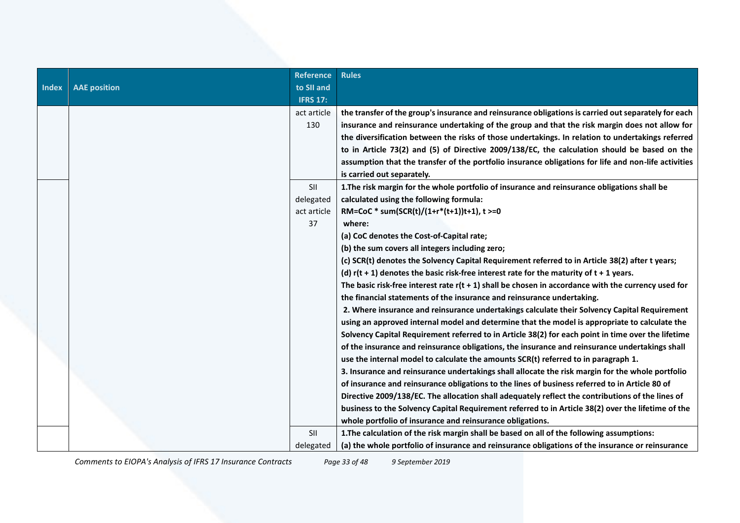| <b>Index</b> | <b>AAE</b> position | <b>Reference</b><br>to SII and | <b>Rules</b>                                                                                          |
|--------------|---------------------|--------------------------------|-------------------------------------------------------------------------------------------------------|
|              |                     | <b>IFRS 17:</b>                |                                                                                                       |
|              |                     | act article                    | the transfer of the group's insurance and reinsurance obligations is carried out separately for each  |
|              |                     | 130                            | insurance and reinsurance undertaking of the group and that the risk margin does not allow for        |
|              |                     |                                | the diversification between the risks of those undertakings. In relation to undertakings referred     |
|              |                     |                                | to in Article 73(2) and (5) of Directive 2009/138/EC, the calculation should be based on the          |
|              |                     |                                | assumption that the transfer of the portfolio insurance obligations for life and non-life activities  |
|              |                     |                                | is carried out separately.                                                                            |
|              |                     | SII                            | 1. The risk margin for the whole portfolio of insurance and reinsurance obligations shall be          |
|              |                     | delegated                      | calculated using the following formula:                                                               |
|              |                     | act article                    | RM=CoC * sum(SCR(t)/(1+r*(t+1))t+1), t >=0                                                            |
|              |                     | 37                             | where:                                                                                                |
|              |                     |                                | (a) CoC denotes the Cost-of-Capital rate;                                                             |
|              |                     |                                | (b) the sum covers all integers including zero;                                                       |
|              |                     |                                | (c) SCR(t) denotes the Solvency Capital Requirement referred to in Article 38(2) after t years;       |
|              |                     |                                | (d) $r(t + 1)$ denotes the basic risk-free interest rate for the maturity of $t + 1$ years.           |
|              |                     |                                | The basic risk-free interest rate $r(t + 1)$ shall be chosen in accordance with the currency used for |
|              |                     |                                | the financial statements of the insurance and reinsurance undertaking.                                |
|              |                     |                                | 2. Where insurance and reinsurance undertakings calculate their Solvency Capital Requirement          |
|              |                     |                                | using an approved internal model and determine that the model is appropriate to calculate the         |
|              |                     |                                | Solvency Capital Requirement referred to in Article 38(2) for each point in time over the lifetime    |
|              |                     |                                | of the insurance and reinsurance obligations, the insurance and reinsurance undertakings shall        |
|              |                     |                                | use the internal model to calculate the amounts SCR(t) referred to in paragraph 1.                    |
|              |                     |                                | 3. Insurance and reinsurance undertakings shall allocate the risk margin for the whole portfolio      |
|              |                     |                                | of insurance and reinsurance obligations to the lines of business referred to in Article 80 of        |
|              |                     |                                | Directive 2009/138/EC. The allocation shall adequately reflect the contributions of the lines of      |
|              |                     |                                | business to the Solvency Capital Requirement referred to in Article 38(2) over the lifetime of the    |
|              |                     |                                | whole portfolio of insurance and reinsurance obligations.                                             |
|              |                     | <b>SII</b>                     | 1. The calculation of the risk margin shall be based on all of the following assumptions:             |
|              |                     | delegated                      | (a) the whole portfolio of insurance and reinsurance obligations of the insurance or reinsurance      |

*Comments to EIOPA's Analysis of IFRS 17 Insurance Contracts Page 33 of 48 9 September 2019*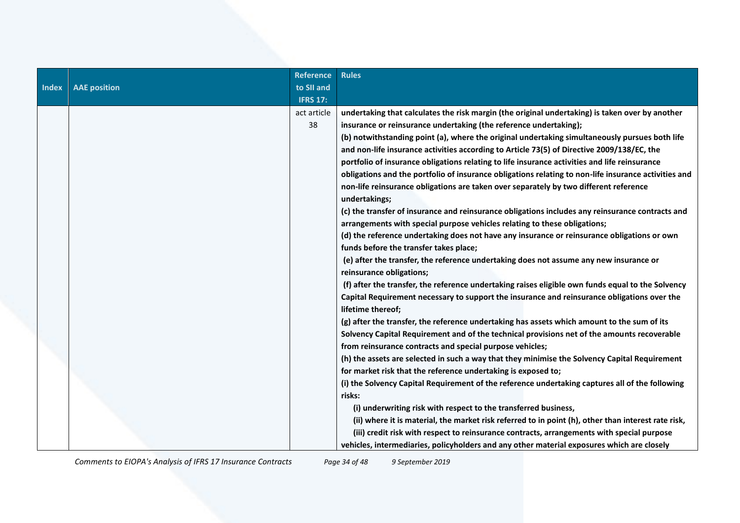|              |                     | <b>Reference</b> | <b>Rules</b>                                                                                                     |
|--------------|---------------------|------------------|------------------------------------------------------------------------------------------------------------------|
| <b>Index</b> | <b>AAE position</b> | to SII and       |                                                                                                                  |
|              |                     | <b>IFRS 17:</b>  |                                                                                                                  |
|              |                     | act article      | undertaking that calculates the risk margin (the original undertaking) is taken over by another                  |
|              |                     | 38               | insurance or reinsurance undertaking (the reference undertaking);                                                |
|              |                     |                  | (b) notwithstanding point (a), where the original undertaking simultaneously pursues both life                   |
|              |                     |                  | and non-life insurance activities according to Article 73(5) of Directive 2009/138/EC, the                       |
|              |                     |                  | portfolio of insurance obligations relating to life insurance activities and life reinsurance                    |
|              |                     |                  | obligations and the portfolio of insurance obligations relating to non-life insurance activities and             |
|              |                     |                  | non-life reinsurance obligations are taken over separately by two different reference<br>undertakings;           |
|              |                     |                  | (c) the transfer of insurance and reinsurance obligations includes any reinsurance contracts and                 |
|              |                     |                  | arrangements with special purpose vehicles relating to these obligations;                                        |
|              |                     |                  | (d) the reference undertaking does not have any insurance or reinsurance obligations or own                      |
|              |                     |                  | funds before the transfer takes place;                                                                           |
|              |                     |                  | (e) after the transfer, the reference undertaking does not assume any new insurance or                           |
|              |                     |                  | reinsurance obligations;                                                                                         |
|              |                     |                  | (f) after the transfer, the reference undertaking raises eligible own funds equal to the Solvency                |
|              |                     |                  | Capital Requirement necessary to support the insurance and reinsurance obligations over the<br>lifetime thereof; |
|              |                     |                  | (g) after the transfer, the reference undertaking has assets which amount to the sum of its                      |
|              |                     |                  | Solvency Capital Requirement and of the technical provisions net of the amounts recoverable                      |
|              |                     |                  | from reinsurance contracts and special purpose vehicles;                                                         |
|              |                     |                  | (h) the assets are selected in such a way that they minimise the Solvency Capital Requirement                    |
|              |                     |                  | for market risk that the reference undertaking is exposed to;                                                    |
|              |                     |                  | (i) the Solvency Capital Requirement of the reference undertaking captures all of the following                  |
|              |                     |                  | risks:                                                                                                           |
|              |                     |                  | (i) underwriting risk with respect to the transferred business,                                                  |
|              |                     |                  | (ii) where it is material, the market risk referred to in point (h), other than interest rate risk,              |
|              |                     |                  | (iii) credit risk with respect to reinsurance contracts, arrangements with special purpose                       |
|              |                     |                  | vehicles, intermediaries, policyholders and any other material exposures which are closely                       |

*Comments to EIOPA's Analysis of IFRS 17 Insurance Contracts Page 34 of 48 9 September 2019*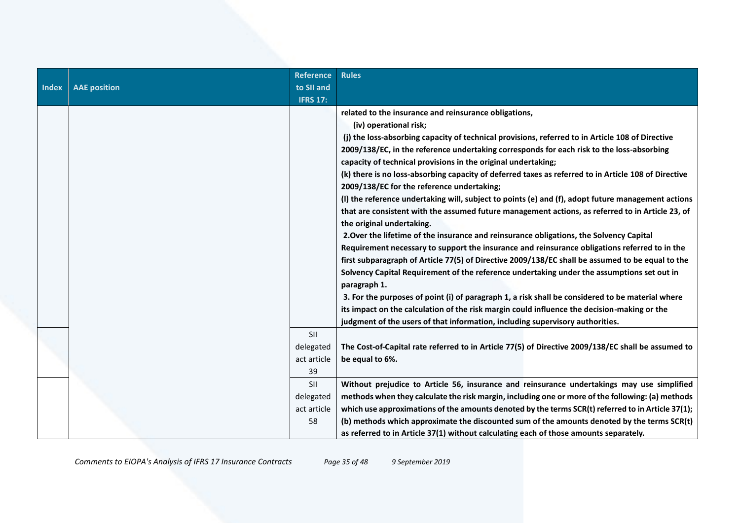|              |                     | <b>Reference</b> | <b>Rules</b>                                                                                         |
|--------------|---------------------|------------------|------------------------------------------------------------------------------------------------------|
| <b>Index</b> | <b>AAE</b> position | to SII and       |                                                                                                      |
|              |                     | <b>IFRS 17:</b>  |                                                                                                      |
|              |                     |                  | related to the insurance and reinsurance obligations,                                                |
|              |                     |                  | (iv) operational risk;                                                                               |
|              |                     |                  | (j) the loss-absorbing capacity of technical provisions, referred to in Article 108 of Directive     |
|              |                     |                  | 2009/138/EC, in the reference undertaking corresponds for each risk to the loss-absorbing            |
|              |                     |                  | capacity of technical provisions in the original undertaking;                                        |
|              |                     |                  | (k) there is no loss-absorbing capacity of deferred taxes as referred to in Article 108 of Directive |
|              |                     |                  | 2009/138/EC for the reference undertaking;                                                           |
|              |                     |                  | (I) the reference undertaking will, subject to points (e) and (f), adopt future management actions   |
|              |                     |                  | that are consistent with the assumed future management actions, as referred to in Article 23, of     |
|              |                     |                  | the original undertaking.                                                                            |
|              |                     |                  | 2. Over the lifetime of the insurance and reinsurance obligations, the Solvency Capital              |
|              |                     |                  | Requirement necessary to support the insurance and reinsurance obligations referred to in the        |
|              |                     |                  | first subparagraph of Article 77(5) of Directive 2009/138/EC shall be assumed to be equal to the     |
|              |                     |                  | Solvency Capital Requirement of the reference undertaking under the assumptions set out in           |
|              |                     |                  | paragraph 1.                                                                                         |
|              |                     |                  | 3. For the purposes of point (i) of paragraph 1, a risk shall be considered to be material where     |
|              |                     |                  | its impact on the calculation of the risk margin could influence the decision-making or the          |
|              |                     |                  | judgment of the users of that information, including supervisory authorities.                        |
|              |                     | SII              |                                                                                                      |
|              |                     | delegated        | The Cost-of-Capital rate referred to in Article 77(5) of Directive 2009/138/EC shall be assumed to   |
|              |                     | act article      | be equal to 6%.                                                                                      |
|              |                     | 39               |                                                                                                      |
|              |                     | SII              | Without prejudice to Article 56, insurance and reinsurance undertakings may use simplified           |
|              |                     | delegated        | methods when they calculate the risk margin, including one or more of the following: (a) methods     |
|              |                     | act article      | which use approximations of the amounts denoted by the terms SCR(t) referred to in Article 37(1);    |
|              |                     | 58               | (b) methods which approximate the discounted sum of the amounts denoted by the terms SCR(t)          |
|              |                     |                  | as referred to in Article 37(1) without calculating each of those amounts separately.                |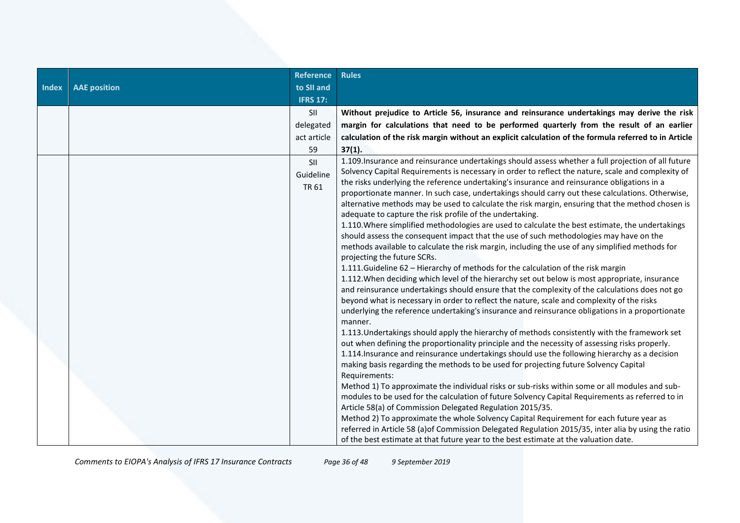| Without prejudice to Article 56, insurance and reinsurance undertakings may derive the risk                                                                                                                                                                                                                                                                                                                                                                                                                                                                                                                                                                                                                                                                                                                                                                                                                                                                                                                                                                                                                                                                                                                                                                                                                                                                                                                                                                                                                                                                                                                                                                                                                                                                                                                                                                                                                                                                                                                                                                                                                                                                                                                                                                                                                                                                                                  |
|----------------------------------------------------------------------------------------------------------------------------------------------------------------------------------------------------------------------------------------------------------------------------------------------------------------------------------------------------------------------------------------------------------------------------------------------------------------------------------------------------------------------------------------------------------------------------------------------------------------------------------------------------------------------------------------------------------------------------------------------------------------------------------------------------------------------------------------------------------------------------------------------------------------------------------------------------------------------------------------------------------------------------------------------------------------------------------------------------------------------------------------------------------------------------------------------------------------------------------------------------------------------------------------------------------------------------------------------------------------------------------------------------------------------------------------------------------------------------------------------------------------------------------------------------------------------------------------------------------------------------------------------------------------------------------------------------------------------------------------------------------------------------------------------------------------------------------------------------------------------------------------------------------------------------------------------------------------------------------------------------------------------------------------------------------------------------------------------------------------------------------------------------------------------------------------------------------------------------------------------------------------------------------------------------------------------------------------------------------------------------------------------|
| margin for calculations that need to be performed quarterly from the result of an earlier                                                                                                                                                                                                                                                                                                                                                                                                                                                                                                                                                                                                                                                                                                                                                                                                                                                                                                                                                                                                                                                                                                                                                                                                                                                                                                                                                                                                                                                                                                                                                                                                                                                                                                                                                                                                                                                                                                                                                                                                                                                                                                                                                                                                                                                                                                    |
| calculation of the risk margin without an explicit calculation of the formula referred to in Article                                                                                                                                                                                                                                                                                                                                                                                                                                                                                                                                                                                                                                                                                                                                                                                                                                                                                                                                                                                                                                                                                                                                                                                                                                                                                                                                                                                                                                                                                                                                                                                                                                                                                                                                                                                                                                                                                                                                                                                                                                                                                                                                                                                                                                                                                         |
| 37(1).                                                                                                                                                                                                                                                                                                                                                                                                                                                                                                                                                                                                                                                                                                                                                                                                                                                                                                                                                                                                                                                                                                                                                                                                                                                                                                                                                                                                                                                                                                                                                                                                                                                                                                                                                                                                                                                                                                                                                                                                                                                                                                                                                                                                                                                                                                                                                                                       |
| 1.109. Insurance and reinsurance undertakings should assess whether a full projection of all future<br>Solvency Capital Requirements is necessary in order to reflect the nature, scale and complexity of<br>the risks underlying the reference undertaking's insurance and reinsurance obligations in a<br>proportionate manner. In such case, undertakings should carry out these calculations. Otherwise,<br>alternative methods may be used to calculate the risk margin, ensuring that the method chosen is<br>adequate to capture the risk profile of the undertaking.<br>1.110. Where simplified methodologies are used to calculate the best estimate, the undertakings<br>should assess the consequent impact that the use of such methodologies may have on the<br>methods available to calculate the risk margin, including the use of any simplified methods for<br>projecting the future SCRs.<br>1.111. Guideline 62 - Hierarchy of methods for the calculation of the risk margin<br>1.112. When deciding which level of the hierarchy set out below is most appropriate, insurance<br>and reinsurance undertakings should ensure that the complexity of the calculations does not go<br>beyond what is necessary in order to reflect the nature, scale and complexity of the risks<br>underlying the reference undertaking's insurance and reinsurance obligations in a proportionate<br>manner.<br>1.113. Undertakings should apply the hierarchy of methods consistently with the framework set<br>out when defining the proportionality principle and the necessity of assessing risks properly.<br>1.114. Insurance and reinsurance undertakings should use the following hierarchy as a decision<br>making basis regarding the methods to be used for projecting future Solvency Capital<br>Requirements:<br>Method 1) To approximate the individual risks or sub-risks within some or all modules and sub-<br>modules to be used for the calculation of future Solvency Capital Requirements as referred to in<br>Article 58(a) of Commission Delegated Regulation 2015/35.<br>Method 2) To approximate the whole Solvency Capital Requirement for each future year as<br>referred in Article 58 (a) of Commission Delegated Regulation 2015/35, inter alia by using the ratio<br>of the best estimate at that future year to the best estimate at the valuation date. |
|                                                                                                                                                                                                                                                                                                                                                                                                                                                                                                                                                                                                                                                                                                                                                                                                                                                                                                                                                                                                                                                                                                                                                                                                                                                                                                                                                                                                                                                                                                                                                                                                                                                                                                                                                                                                                                                                                                                                                                                                                                                                                                                                                                                                                                                                                                                                                                                              |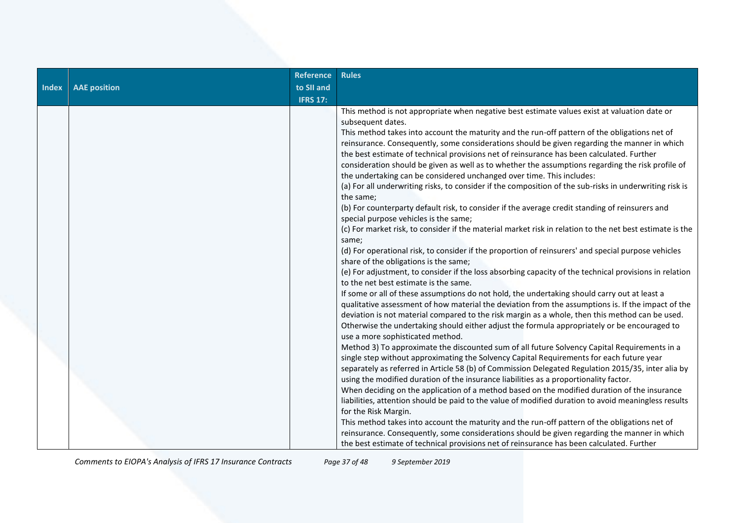|              |                     | <b>Reference</b> | <b>Rules</b>                                                                                                                                                                     |
|--------------|---------------------|------------------|----------------------------------------------------------------------------------------------------------------------------------------------------------------------------------|
| <b>Index</b> | <b>AAE</b> position | to SII and       |                                                                                                                                                                                  |
|              |                     | <b>IFRS 17:</b>  |                                                                                                                                                                                  |
|              |                     |                  | This method is not appropriate when negative best estimate values exist at valuation date or                                                                                     |
|              |                     |                  | subsequent dates.                                                                                                                                                                |
|              |                     |                  | This method takes into account the maturity and the run-off pattern of the obligations net of                                                                                    |
|              |                     |                  | reinsurance. Consequently, some considerations should be given regarding the manner in which                                                                                     |
|              |                     |                  | the best estimate of technical provisions net of reinsurance has been calculated. Further                                                                                        |
|              |                     |                  | consideration should be given as well as to whether the assumptions regarding the risk profile of                                                                                |
|              |                     |                  | the undertaking can be considered unchanged over time. This includes:<br>(a) For all underwriting risks, to consider if the composition of the sub-risks in underwriting risk is |
|              |                     |                  | the same;                                                                                                                                                                        |
|              |                     |                  | (b) For counterparty default risk, to consider if the average credit standing of reinsurers and                                                                                  |
|              |                     |                  | special purpose vehicles is the same;                                                                                                                                            |
|              |                     |                  | (c) For market risk, to consider if the material market risk in relation to the net best estimate is the                                                                         |
|              |                     |                  | same;                                                                                                                                                                            |
|              |                     |                  | (d) For operational risk, to consider if the proportion of reinsurers' and special purpose vehicles                                                                              |
|              |                     |                  | share of the obligations is the same;                                                                                                                                            |
|              |                     |                  | (e) For adjustment, to consider if the loss absorbing capacity of the technical provisions in relation                                                                           |
|              |                     |                  | to the net best estimate is the same.                                                                                                                                            |
|              |                     |                  | If some or all of these assumptions do not hold, the undertaking should carry out at least a                                                                                     |
|              |                     |                  | qualitative assessment of how material the deviation from the assumptions is. If the impact of the                                                                               |
|              |                     |                  | deviation is not material compared to the risk margin as a whole, then this method can be used.                                                                                  |
|              |                     |                  | Otherwise the undertaking should either adjust the formula appropriately or be encouraged to<br>use a more sophisticated method.                                                 |
|              |                     |                  | Method 3) To approximate the discounted sum of all future Solvency Capital Requirements in a                                                                                     |
|              |                     |                  | single step without approximating the Solvency Capital Requirements for each future year                                                                                         |
|              |                     |                  | separately as referred in Article 58 (b) of Commission Delegated Regulation 2015/35, inter alia by                                                                               |
|              |                     |                  | using the modified duration of the insurance liabilities as a proportionality factor.                                                                                            |
|              |                     |                  | When deciding on the application of a method based on the modified duration of the insurance                                                                                     |
|              |                     |                  | liabilities, attention should be paid to the value of modified duration to avoid meaningless results                                                                             |
|              |                     |                  | for the Risk Margin.                                                                                                                                                             |
|              |                     |                  | This method takes into account the maturity and the run-off pattern of the obligations net of                                                                                    |
|              |                     |                  | reinsurance. Consequently, some considerations should be given regarding the manner in which                                                                                     |
|              |                     |                  | the best estimate of technical provisions net of reinsurance has been calculated. Further                                                                                        |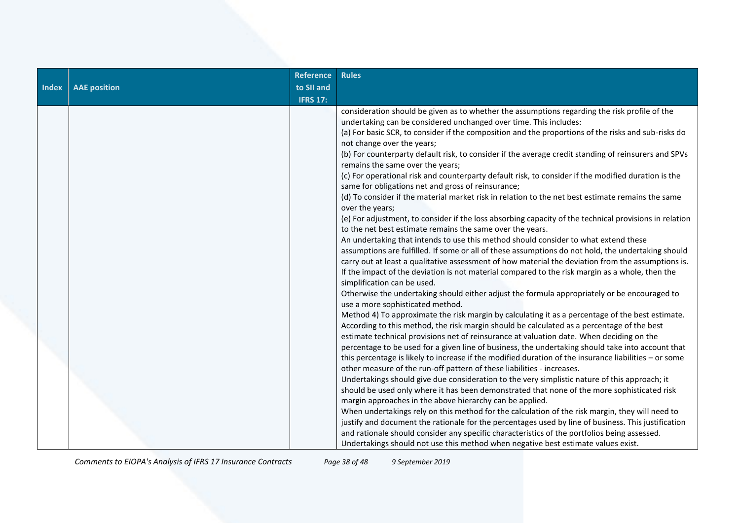| <b>Index</b> | <b>AAE</b> position | <b>Reference</b><br>to SII and | <b>Rules</b>                                                                                                                                                                                                                                                                                                                                                                                                                                                                                                                                                                                                                                                                                                                                                                                                                                                                                                                                                                                                                                                                                                                                                                                                                                                                                                                                                                                                                                                                                                                                                                                                                                                                                                                                                                           |
|--------------|---------------------|--------------------------------|----------------------------------------------------------------------------------------------------------------------------------------------------------------------------------------------------------------------------------------------------------------------------------------------------------------------------------------------------------------------------------------------------------------------------------------------------------------------------------------------------------------------------------------------------------------------------------------------------------------------------------------------------------------------------------------------------------------------------------------------------------------------------------------------------------------------------------------------------------------------------------------------------------------------------------------------------------------------------------------------------------------------------------------------------------------------------------------------------------------------------------------------------------------------------------------------------------------------------------------------------------------------------------------------------------------------------------------------------------------------------------------------------------------------------------------------------------------------------------------------------------------------------------------------------------------------------------------------------------------------------------------------------------------------------------------------------------------------------------------------------------------------------------------|
|              |                     | <b>IFRS 17:</b>                |                                                                                                                                                                                                                                                                                                                                                                                                                                                                                                                                                                                                                                                                                                                                                                                                                                                                                                                                                                                                                                                                                                                                                                                                                                                                                                                                                                                                                                                                                                                                                                                                                                                                                                                                                                                        |
|              |                     |                                | consideration should be given as to whether the assumptions regarding the risk profile of the<br>undertaking can be considered unchanged over time. This includes:<br>(a) For basic SCR, to consider if the composition and the proportions of the risks and sub-risks do<br>not change over the years;<br>(b) For counterparty default risk, to consider if the average credit standing of reinsurers and SPVs<br>remains the same over the years;<br>(c) For operational risk and counterparty default risk, to consider if the modified duration is the<br>same for obligations net and gross of reinsurance;<br>(d) To consider if the material market risk in relation to the net best estimate remains the same<br>over the years;<br>(e) For adjustment, to consider if the loss absorbing capacity of the technical provisions in relation<br>to the net best estimate remains the same over the years.<br>An undertaking that intends to use this method should consider to what extend these<br>assumptions are fulfilled. If some or all of these assumptions do not hold, the undertaking should<br>carry out at least a qualitative assessment of how material the deviation from the assumptions is.<br>If the impact of the deviation is not material compared to the risk margin as a whole, then the<br>simplification can be used.<br>Otherwise the undertaking should either adjust the formula appropriately or be encouraged to<br>use a more sophisticated method.<br>Method 4) To approximate the risk margin by calculating it as a percentage of the best estimate.<br>According to this method, the risk margin should be calculated as a percentage of the best<br>estimate technical provisions net of reinsurance at valuation date. When deciding on the |
|              |                     |                                | percentage to be used for a given line of business, the undertaking should take into account that<br>this percentage is likely to increase if the modified duration of the insurance liabilities - or some<br>other measure of the run-off pattern of these liabilities - increases.                                                                                                                                                                                                                                                                                                                                                                                                                                                                                                                                                                                                                                                                                                                                                                                                                                                                                                                                                                                                                                                                                                                                                                                                                                                                                                                                                                                                                                                                                                   |
|              |                     |                                | Undertakings should give due consideration to the very simplistic nature of this approach; it<br>should be used only where it has been demonstrated that none of the more sophisticated risk<br>margin approaches in the above hierarchy can be applied.                                                                                                                                                                                                                                                                                                                                                                                                                                                                                                                                                                                                                                                                                                                                                                                                                                                                                                                                                                                                                                                                                                                                                                                                                                                                                                                                                                                                                                                                                                                               |
|              |                     |                                | When undertakings rely on this method for the calculation of the risk margin, they will need to<br>justify and document the rationale for the percentages used by line of business. This justification<br>and rationale should consider any specific characteristics of the portfolios being assessed.<br>Undertakings should not use this method when negative best estimate values exist.                                                                                                                                                                                                                                                                                                                                                                                                                                                                                                                                                                                                                                                                                                                                                                                                                                                                                                                                                                                                                                                                                                                                                                                                                                                                                                                                                                                            |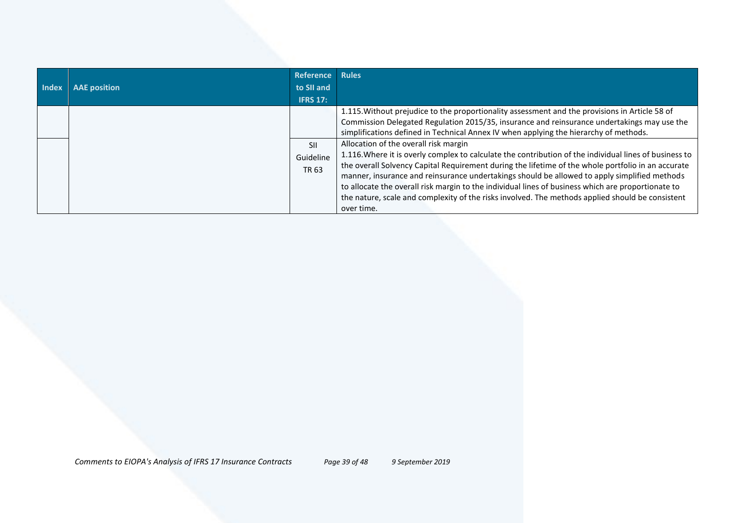| <b>Index</b> | <b>AAE</b> position | <b>Reference</b><br>to SII and<br><b>IFRS 17:</b> | <b>Rules</b>                                                                                                                                                                                                                                                                                                                                                                                                                                                                                                                                                                                                                                                                                                                                                                                                                                                            |
|--------------|---------------------|---------------------------------------------------|-------------------------------------------------------------------------------------------------------------------------------------------------------------------------------------------------------------------------------------------------------------------------------------------------------------------------------------------------------------------------------------------------------------------------------------------------------------------------------------------------------------------------------------------------------------------------------------------------------------------------------------------------------------------------------------------------------------------------------------------------------------------------------------------------------------------------------------------------------------------------|
|              |                     | <b>SII</b><br>Guideline<br>TR 63                  | 1.115. Without prejudice to the proportionality assessment and the provisions in Article 58 of<br>Commission Delegated Regulation 2015/35, insurance and reinsurance undertakings may use the<br>simplifications defined in Technical Annex IV when applying the hierarchy of methods.<br>Allocation of the overall risk margin<br>1.116. Where it is overly complex to calculate the contribution of the individual lines of business to<br>the overall Solvency Capital Requirement during the lifetime of the whole portfolio in an accurate<br>manner, insurance and reinsurance undertakings should be allowed to apply simplified methods<br>to allocate the overall risk margin to the individual lines of business which are proportionate to<br>the nature, scale and complexity of the risks involved. The methods applied should be consistent<br>over time. |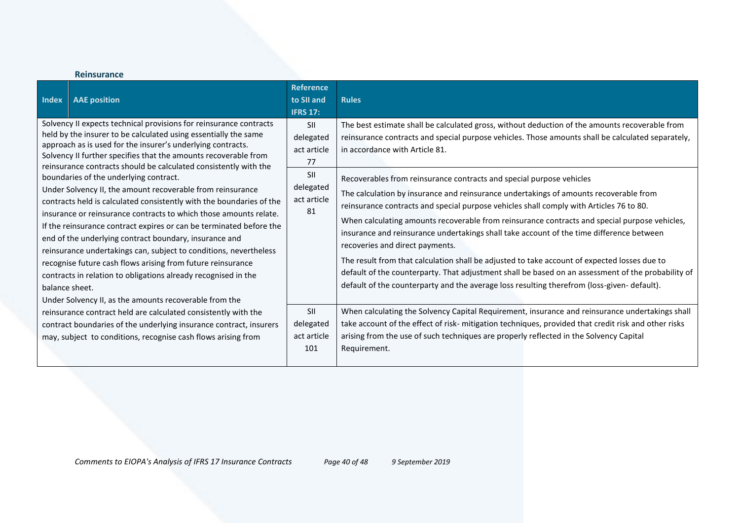| <b>Index</b> | <b>AAE</b> position                                                                                                                                                                                                                                                                                                                                                                                                                                                                                                                                                                                                                                                                                                                                                                                                                                                                                                                                                                                                 | <b>Reference</b><br>to SII and<br><b>IFRS 17:</b>                              | <b>Rules</b>                                                                                                                                                                                                                                                                                                                                                                                                                                                                                                                                                                                                                                                                                                                                                                                                                                                                                                                                                                                                                          |
|--------------|---------------------------------------------------------------------------------------------------------------------------------------------------------------------------------------------------------------------------------------------------------------------------------------------------------------------------------------------------------------------------------------------------------------------------------------------------------------------------------------------------------------------------------------------------------------------------------------------------------------------------------------------------------------------------------------------------------------------------------------------------------------------------------------------------------------------------------------------------------------------------------------------------------------------------------------------------------------------------------------------------------------------|--------------------------------------------------------------------------------|---------------------------------------------------------------------------------------------------------------------------------------------------------------------------------------------------------------------------------------------------------------------------------------------------------------------------------------------------------------------------------------------------------------------------------------------------------------------------------------------------------------------------------------------------------------------------------------------------------------------------------------------------------------------------------------------------------------------------------------------------------------------------------------------------------------------------------------------------------------------------------------------------------------------------------------------------------------------------------------------------------------------------------------|
|              | Solvency II expects technical provisions for reinsurance contracts<br>held by the insurer to be calculated using essentially the same<br>approach as is used for the insurer's underlying contracts.<br>Solvency II further specifies that the amounts recoverable from<br>reinsurance contracts should be calculated consistently with the<br>boundaries of the underlying contract.<br>Under Solvency II, the amount recoverable from reinsurance<br>contracts held is calculated consistently with the boundaries of the<br>insurance or reinsurance contracts to which those amounts relate.<br>If the reinsurance contract expires or can be terminated before the<br>end of the underlying contract boundary, insurance and<br>reinsurance undertakings can, subject to conditions, nevertheless<br>recognise future cash flows arising from future reinsurance<br>contracts in relation to obligations already recognised in the<br>balance sheet.<br>Under Solvency II, as the amounts recoverable from the | SII<br>delegated<br>act article<br>77<br>SII<br>delegated<br>act article<br>81 | The best estimate shall be calculated gross, without deduction of the amounts recoverable from<br>reinsurance contracts and special purpose vehicles. Those amounts shall be calculated separately,<br>in accordance with Article 81.<br>Recoverables from reinsurance contracts and special purpose vehicles<br>The calculation by insurance and reinsurance undertakings of amounts recoverable from<br>reinsurance contracts and special purpose vehicles shall comply with Articles 76 to 80.<br>When calculating amounts recoverable from reinsurance contracts and special purpose vehicles,<br>insurance and reinsurance undertakings shall take account of the time difference between<br>recoveries and direct payments.<br>The result from that calculation shall be adjusted to take account of expected losses due to<br>default of the counterparty. That adjustment shall be based on an assessment of the probability of<br>default of the counterparty and the average loss resulting therefrom (loss-given-default). |
|              | reinsurance contract held are calculated consistently with the<br>contract boundaries of the underlying insurance contract, insurers<br>may, subject to conditions, recognise cash flows arising from                                                                                                                                                                                                                                                                                                                                                                                                                                                                                                                                                                                                                                                                                                                                                                                                               | <b>SII</b><br>delegated<br>act article<br>101                                  | When calculating the Solvency Capital Requirement, insurance and reinsurance undertakings shall<br>take account of the effect of risk- mitigation techniques, provided that credit risk and other risks<br>arising from the use of such techniques are properly reflected in the Solvency Capital<br>Requirement.                                                                                                                                                                                                                                                                                                                                                                                                                                                                                                                                                                                                                                                                                                                     |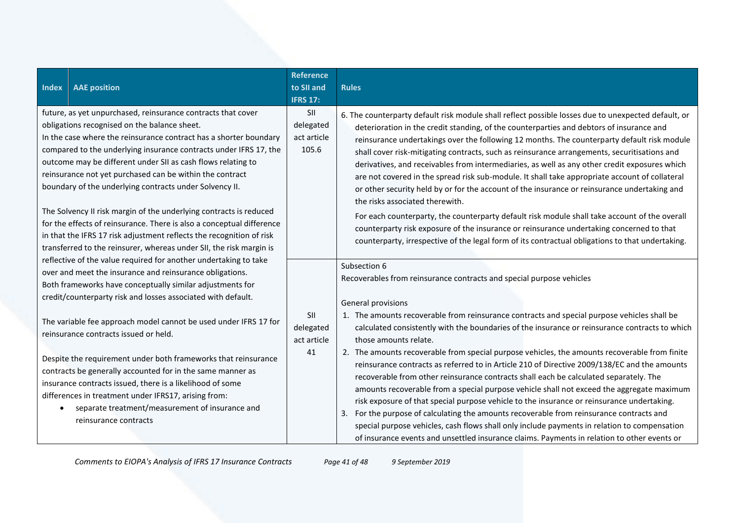| <b>Index</b> | <b>AAE</b> position                                                                                                                                                                                                                                                                                                                                                                                                                                                                                                                                                                                                                                                                                                                         | <b>Reference</b><br>to SII and<br><b>IFRS 17:</b> | <b>Rules</b>                                                                                                                                                                                                                                                                                                                                                                                                                                                                                                                                                                                                                                                                                                                                                                                                                                                                                                                                                                                                                                                                                                      |
|--------------|---------------------------------------------------------------------------------------------------------------------------------------------------------------------------------------------------------------------------------------------------------------------------------------------------------------------------------------------------------------------------------------------------------------------------------------------------------------------------------------------------------------------------------------------------------------------------------------------------------------------------------------------------------------------------------------------------------------------------------------------|---------------------------------------------------|-------------------------------------------------------------------------------------------------------------------------------------------------------------------------------------------------------------------------------------------------------------------------------------------------------------------------------------------------------------------------------------------------------------------------------------------------------------------------------------------------------------------------------------------------------------------------------------------------------------------------------------------------------------------------------------------------------------------------------------------------------------------------------------------------------------------------------------------------------------------------------------------------------------------------------------------------------------------------------------------------------------------------------------------------------------------------------------------------------------------|
|              | future, as yet unpurchased, reinsurance contracts that cover<br>obligations recognised on the balance sheet.<br>In the case where the reinsurance contract has a shorter boundary<br>compared to the underlying insurance contracts under IFRS 17, the<br>outcome may be different under SII as cash flows relating to<br>reinsurance not yet purchased can be within the contract<br>boundary of the underlying contracts under Solvency II.<br>The Solvency II risk margin of the underlying contracts is reduced<br>for the effects of reinsurance. There is also a conceptual difference<br>in that the IFRS 17 risk adjustment reflects the recognition of risk<br>transferred to the reinsurer, whereas under SII, the risk margin is | SII<br>delegated<br>act article<br>105.6          | 6. The counterparty default risk module shall reflect possible losses due to unexpected default, or<br>deterioration in the credit standing, of the counterparties and debtors of insurance and<br>reinsurance undertakings over the following 12 months. The counterparty default risk module<br>shall cover risk-mitigating contracts, such as reinsurance arrangements, securitisations and<br>derivatives, and receivables from intermediaries, as well as any other credit exposures which<br>are not covered in the spread risk sub-module. It shall take appropriate account of collateral<br>or other security held by or for the account of the insurance or reinsurance undertaking and<br>the risks associated therewith.<br>For each counterparty, the counterparty default risk module shall take account of the overall<br>counterparty risk exposure of the insurance or reinsurance undertaking concerned to that<br>counterparty, irrespective of the legal form of its contractual obligations to that undertaking.                                                                             |
|              | reflective of the value required for another undertaking to take<br>over and meet the insurance and reinsurance obligations.<br>Both frameworks have conceptually similar adjustments for<br>credit/counterparty risk and losses associated with default.<br>The variable fee approach model cannot be used under IFRS 17 for<br>reinsurance contracts issued or held.<br>Despite the requirement under both frameworks that reinsurance<br>contracts be generally accounted for in the same manner as<br>insurance contracts issued, there is a likelihood of some<br>differences in treatment under IFRS17, arising from:<br>separate treatment/measurement of insurance and<br>reinsurance contracts                                     | SII<br>delegated<br>act article<br>41             | Subsection 6<br>Recoverables from reinsurance contracts and special purpose vehicles<br>General provisions<br>1. The amounts recoverable from reinsurance contracts and special purpose vehicles shall be<br>calculated consistently with the boundaries of the insurance or reinsurance contracts to which<br>those amounts relate.<br>2. The amounts recoverable from special purpose vehicles, the amounts recoverable from finite<br>reinsurance contracts as referred to in Article 210 of Directive 2009/138/EC and the amounts<br>recoverable from other reinsurance contracts shall each be calculated separately. The<br>amounts recoverable from a special purpose vehicle shall not exceed the aggregate maximum<br>risk exposure of that special purpose vehicle to the insurance or reinsurance undertaking.<br>For the purpose of calculating the amounts recoverable from reinsurance contracts and<br>special purpose vehicles, cash flows shall only include payments in relation to compensation<br>of insurance events and unsettled insurance claims. Payments in relation to other events or |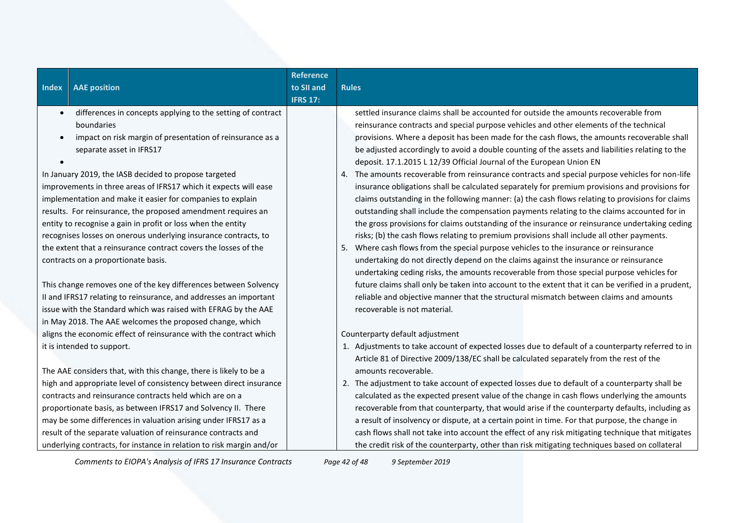| <b>Index</b> | <b>AAE position</b>                                                  | <b>Reference</b><br>to SII and<br><b>IFRS 17:</b> | <b>Rules</b>                                                                                       |
|--------------|----------------------------------------------------------------------|---------------------------------------------------|----------------------------------------------------------------------------------------------------|
| $\bullet$    | differences in concepts applying to the setting of contract          |                                                   | settled insurance claims shall be accounted for outside the amounts recoverable from               |
|              | boundaries                                                           |                                                   | reinsurance contracts and special purpose vehicles and other elements of the technical             |
| $\bullet$    | impact on risk margin of presentation of reinsurance as a            |                                                   | provisions. Where a deposit has been made for the cash flows, the amounts recoverable shall        |
|              | separate asset in IFRS17                                             |                                                   | be adjusted accordingly to avoid a double counting of the assets and liabilities relating to the   |
|              |                                                                      |                                                   | deposit. 17.1.2015 L 12/39 Official Journal of the European Union EN                               |
|              | In January 2019, the IASB decided to propose targeted                |                                                   | 4. The amounts recoverable from reinsurance contracts and special purpose vehicles for non-life    |
|              | improvements in three areas of IFRS17 which it expects will ease     |                                                   | insurance obligations shall be calculated separately for premium provisions and provisions for     |
|              | implementation and make it easier for companies to explain           |                                                   | claims outstanding in the following manner: (a) the cash flows relating to provisions for claims   |
|              | results. For reinsurance, the proposed amendment requires an         |                                                   | outstanding shall include the compensation payments relating to the claims accounted for in        |
|              | entity to recognise a gain in profit or loss when the entity         |                                                   | the gross provisions for claims outstanding of the insurance or reinsurance undertaking ceding     |
|              | recognises losses on onerous underlying insurance contracts, to      |                                                   | risks; (b) the cash flows relating to premium provisions shall include all other payments.         |
|              | the extent that a reinsurance contract covers the losses of the      |                                                   | 5. Where cash flows from the special purpose vehicles to the insurance or reinsurance              |
|              | contracts on a proportionate basis.                                  |                                                   | undertaking do not directly depend on the claims against the insurance or reinsurance              |
|              |                                                                      |                                                   | undertaking ceding risks, the amounts recoverable from those special purpose vehicles for          |
|              | This change removes one of the key differences between Solvency      |                                                   | future claims shall only be taken into account to the extent that it can be verified in a prudent, |
|              | II and IFRS17 relating to reinsurance, and addresses an important    |                                                   | reliable and objective manner that the structural mismatch between claims and amounts              |
|              | issue with the Standard which was raised with EFRAG by the AAE       |                                                   | recoverable is not material.                                                                       |
|              | in May 2018. The AAE welcomes the proposed change, which             |                                                   |                                                                                                    |
|              | aligns the economic effect of reinsurance with the contract which    |                                                   | Counterparty default adjustment                                                                    |
|              | it is intended to support.                                           |                                                   | 1. Adjustments to take account of expected losses due to default of a counterparty referred to in  |
|              |                                                                      |                                                   | Article 81 of Directive 2009/138/EC shall be calculated separately from the rest of the            |
|              | The AAE considers that, with this change, there is likely to be a    |                                                   | amounts recoverable.                                                                               |
|              | high and appropriate level of consistency between direct insurance   |                                                   | 2. The adjustment to take account of expected losses due to default of a counterparty shall be     |
|              | contracts and reinsurance contracts held which are on a              |                                                   | calculated as the expected present value of the change in cash flows underlying the amounts        |
|              | proportionate basis, as between IFRS17 and Solvency II. There        |                                                   | recoverable from that counterparty, that would arise if the counterparty defaults, including as    |
|              | may be some differences in valuation arising under IFRS17 as a       |                                                   | a result of insolvency or dispute, at a certain point in time. For that purpose, the change in     |
|              | result of the separate valuation of reinsurance contracts and        |                                                   | cash flows shall not take into account the effect of any risk mitigating technique that mitigates  |
|              | underlying contracts, for instance in relation to risk margin and/or |                                                   | the credit risk of the counterparty, other than risk mitigating techniques based on collateral     |

*Comments to EIOPA's Analysis of IFRS 17 Insurance Contracts Page 42 of 48 9 September 2019*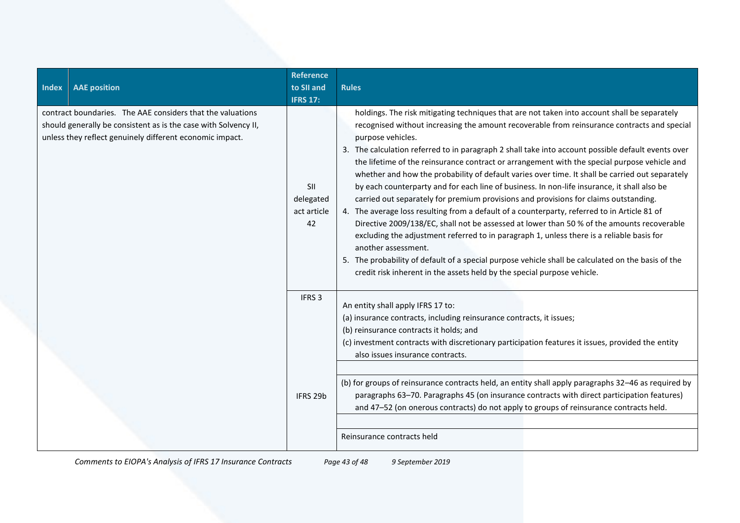| <b>Index</b>                                                                                                                                                                              | <b>AAE</b> position | <b>Reference</b><br>to SII and<br><b>IFRS 17:</b> | <b>Rules</b>                                                                                                                                                                                                                                                                                                                                                                                                                                                                                                                                                                                                                                                                                                                                                                                                                                                                                                                                                                                                                                                                                                                                                                                                        |
|-------------------------------------------------------------------------------------------------------------------------------------------------------------------------------------------|---------------------|---------------------------------------------------|---------------------------------------------------------------------------------------------------------------------------------------------------------------------------------------------------------------------------------------------------------------------------------------------------------------------------------------------------------------------------------------------------------------------------------------------------------------------------------------------------------------------------------------------------------------------------------------------------------------------------------------------------------------------------------------------------------------------------------------------------------------------------------------------------------------------------------------------------------------------------------------------------------------------------------------------------------------------------------------------------------------------------------------------------------------------------------------------------------------------------------------------------------------------------------------------------------------------|
| contract boundaries. The AAE considers that the valuations<br>should generally be consistent as is the case with Solvency II,<br>unless they reflect genuinely different economic impact. |                     | <b>SII</b><br>delegated<br>act article<br>42      | holdings. The risk mitigating techniques that are not taken into account shall be separately<br>recognised without increasing the amount recoverable from reinsurance contracts and special<br>purpose vehicles.<br>3. The calculation referred to in paragraph 2 shall take into account possible default events over<br>the lifetime of the reinsurance contract or arrangement with the special purpose vehicle and<br>whether and how the probability of default varies over time. It shall be carried out separately<br>by each counterparty and for each line of business. In non-life insurance, it shall also be<br>carried out separately for premium provisions and provisions for claims outstanding.<br>4. The average loss resulting from a default of a counterparty, referred to in Article 81 of<br>Directive 2009/138/EC, shall not be assessed at lower than 50 % of the amounts recoverable<br>excluding the adjustment referred to in paragraph 1, unless there is a reliable basis for<br>another assessment.<br>5. The probability of default of a special purpose vehicle shall be calculated on the basis of the<br>credit risk inherent in the assets held by the special purpose vehicle. |
|                                                                                                                                                                                           |                     | IFRS <sub>3</sub><br>IFRS 29b                     | An entity shall apply IFRS 17 to:<br>(a) insurance contracts, including reinsurance contracts, it issues;<br>(b) reinsurance contracts it holds; and<br>(c) investment contracts with discretionary participation features it issues, provided the entity<br>also issues insurance contracts.<br>(b) for groups of reinsurance contracts held, an entity shall apply paragraphs 32-46 as required by<br>paragraphs 63-70. Paragraphs 45 (on insurance contracts with direct participation features)<br>and 47-52 (on onerous contracts) do not apply to groups of reinsurance contracts held.                                                                                                                                                                                                                                                                                                                                                                                                                                                                                                                                                                                                                       |
|                                                                                                                                                                                           |                     |                                                   | Reinsurance contracts held                                                                                                                                                                                                                                                                                                                                                                                                                                                                                                                                                                                                                                                                                                                                                                                                                                                                                                                                                                                                                                                                                                                                                                                          |

*Comments to EIOPA's Analysis of IFRS 17 Insurance Contracts Page 43 of 48 9 September 2019*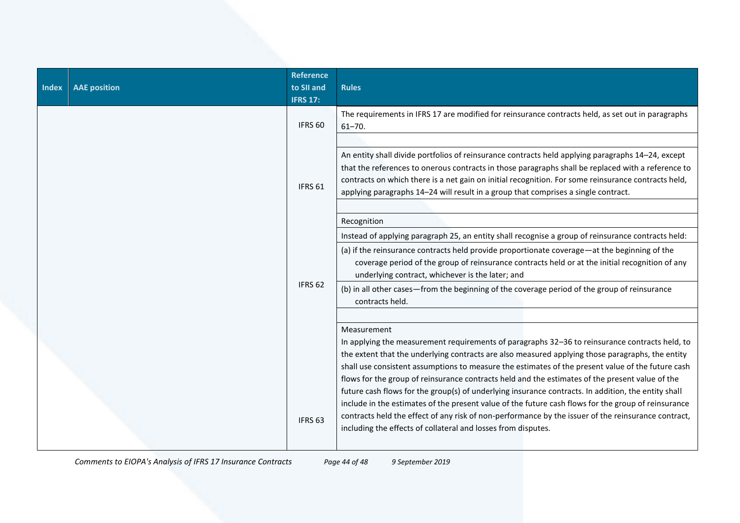| <b>AAE</b> position | <b>Reference</b><br>to SII and<br><b>IFRS 17:</b> | <b>Rules</b>                                                                                                                                                                                                                                                                                                                                                                                                                                                                                                                                                                                                                                                                                                                                                                                                    |
|---------------------|---------------------------------------------------|-----------------------------------------------------------------------------------------------------------------------------------------------------------------------------------------------------------------------------------------------------------------------------------------------------------------------------------------------------------------------------------------------------------------------------------------------------------------------------------------------------------------------------------------------------------------------------------------------------------------------------------------------------------------------------------------------------------------------------------------------------------------------------------------------------------------|
|                     | IFRS <sub>60</sub>                                | The requirements in IFRS 17 are modified for reinsurance contracts held, as set out in paragraphs<br>$61 - 70$ .                                                                                                                                                                                                                                                                                                                                                                                                                                                                                                                                                                                                                                                                                                |
|                     | IFRS <sub>61</sub>                                | An entity shall divide portfolios of reinsurance contracts held applying paragraphs 14-24, except<br>that the references to onerous contracts in those paragraphs shall be replaced with a reference to<br>contracts on which there is a net gain on initial recognition. For some reinsurance contracts held,<br>applying paragraphs 14-24 will result in a group that comprises a single contract.                                                                                                                                                                                                                                                                                                                                                                                                            |
|                     |                                                   | Recognition                                                                                                                                                                                                                                                                                                                                                                                                                                                                                                                                                                                                                                                                                                                                                                                                     |
|                     |                                                   | Instead of applying paragraph 25, an entity shall recognise a group of reinsurance contracts held:                                                                                                                                                                                                                                                                                                                                                                                                                                                                                                                                                                                                                                                                                                              |
|                     |                                                   | (a) if the reinsurance contracts held provide proportionate coverage—at the beginning of the<br>coverage period of the group of reinsurance contracts held or at the initial recognition of any<br>underlying contract, whichever is the later; and                                                                                                                                                                                                                                                                                                                                                                                                                                                                                                                                                             |
|                     |                                                   | (b) in all other cases-from the beginning of the coverage period of the group of reinsurance<br>contracts held.                                                                                                                                                                                                                                                                                                                                                                                                                                                                                                                                                                                                                                                                                                 |
|                     | IFRS <sub>63</sub>                                | Measurement<br>In applying the measurement requirements of paragraphs 32-36 to reinsurance contracts held, to<br>the extent that the underlying contracts are also measured applying those paragraphs, the entity<br>shall use consistent assumptions to measure the estimates of the present value of the future cash<br>flows for the group of reinsurance contracts held and the estimates of the present value of the<br>future cash flows for the group(s) of underlying insurance contracts. In addition, the entity shall<br>include in the estimates of the present value of the future cash flows for the group of reinsurance<br>contracts held the effect of any risk of non-performance by the issuer of the reinsurance contract,<br>including the effects of collateral and losses from disputes. |
|                     |                                                   | IFRS <sub>62</sub>                                                                                                                                                                                                                                                                                                                                                                                                                                                                                                                                                                                                                                                                                                                                                                                              |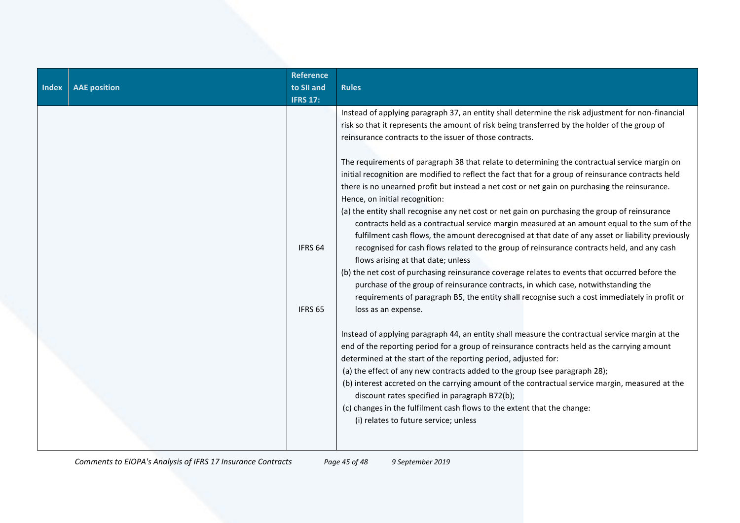| Index | <b>AAE</b> position | <b>Reference</b><br>to SII and<br><b>IFRS 17:</b> | <b>Rules</b>                                                                                                                                                                                                                                                                                                                                                                                                                                                                                                                                                                                                                                                                                                                                                                                                                                                                                                                                                                                                                                                                                                                                                                                                                                                                                                                                                                                                                                                                                                                                                                                                                                                                                                                                                                                                                                                                                                                                                                                  |
|-------|---------------------|---------------------------------------------------|-----------------------------------------------------------------------------------------------------------------------------------------------------------------------------------------------------------------------------------------------------------------------------------------------------------------------------------------------------------------------------------------------------------------------------------------------------------------------------------------------------------------------------------------------------------------------------------------------------------------------------------------------------------------------------------------------------------------------------------------------------------------------------------------------------------------------------------------------------------------------------------------------------------------------------------------------------------------------------------------------------------------------------------------------------------------------------------------------------------------------------------------------------------------------------------------------------------------------------------------------------------------------------------------------------------------------------------------------------------------------------------------------------------------------------------------------------------------------------------------------------------------------------------------------------------------------------------------------------------------------------------------------------------------------------------------------------------------------------------------------------------------------------------------------------------------------------------------------------------------------------------------------------------------------------------------------------------------------------------------------|
|       |                     | IFRS <sub>64</sub><br>IFRS <sub>65</sub>          | Instead of applying paragraph 37, an entity shall determine the risk adjustment for non-financial<br>risk so that it represents the amount of risk being transferred by the holder of the group of<br>reinsurance contracts to the issuer of those contracts.<br>The requirements of paragraph 38 that relate to determining the contractual service margin on<br>initial recognition are modified to reflect the fact that for a group of reinsurance contracts held<br>there is no unearned profit but instead a net cost or net gain on purchasing the reinsurance.<br>Hence, on initial recognition:<br>(a) the entity shall recognise any net cost or net gain on purchasing the group of reinsurance<br>contracts held as a contractual service margin measured at an amount equal to the sum of the<br>fulfilment cash flows, the amount derecognised at that date of any asset or liability previously<br>recognised for cash flows related to the group of reinsurance contracts held, and any cash<br>flows arising at that date; unless<br>(b) the net cost of purchasing reinsurance coverage relates to events that occurred before the<br>purchase of the group of reinsurance contracts, in which case, notwithstanding the<br>requirements of paragraph B5, the entity shall recognise such a cost immediately in profit or<br>loss as an expense.<br>Instead of applying paragraph 44, an entity shall measure the contractual service margin at the<br>end of the reporting period for a group of reinsurance contracts held as the carrying amount<br>determined at the start of the reporting period, adjusted for:<br>(a) the effect of any new contracts added to the group (see paragraph 28);<br>(b) interest accreted on the carrying amount of the contractual service margin, measured at the<br>discount rates specified in paragraph B72(b);<br>(c) changes in the fulfilment cash flows to the extent that the change:<br>(i) relates to future service; unless |
|       |                     |                                                   |                                                                                                                                                                                                                                                                                                                                                                                                                                                                                                                                                                                                                                                                                                                                                                                                                                                                                                                                                                                                                                                                                                                                                                                                                                                                                                                                                                                                                                                                                                                                                                                                                                                                                                                                                                                                                                                                                                                                                                                               |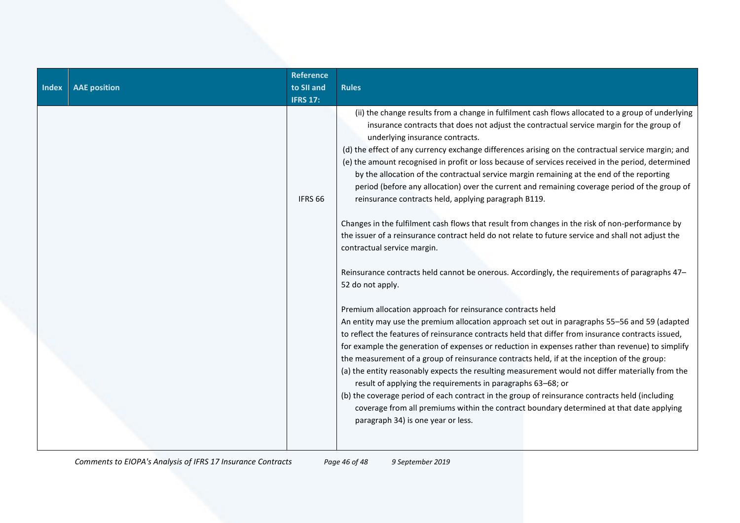| <b>Index</b> | <b>AAE</b> position | <b>Reference</b><br>to SII and<br><b>IFRS 17:</b> | <b>Rules</b>                                                                                                                                                                                                                                                                                                                                                                                                                                                                                                                                                                                                                                                                                                                                                                                                                                                                                                                                                                                                                                                                                                                                                                                                                                                                                                                                                                                                                                                                                                                                                                                                                                                                                                                                                                                                                                                                                                                                   |
|--------------|---------------------|---------------------------------------------------|------------------------------------------------------------------------------------------------------------------------------------------------------------------------------------------------------------------------------------------------------------------------------------------------------------------------------------------------------------------------------------------------------------------------------------------------------------------------------------------------------------------------------------------------------------------------------------------------------------------------------------------------------------------------------------------------------------------------------------------------------------------------------------------------------------------------------------------------------------------------------------------------------------------------------------------------------------------------------------------------------------------------------------------------------------------------------------------------------------------------------------------------------------------------------------------------------------------------------------------------------------------------------------------------------------------------------------------------------------------------------------------------------------------------------------------------------------------------------------------------------------------------------------------------------------------------------------------------------------------------------------------------------------------------------------------------------------------------------------------------------------------------------------------------------------------------------------------------------------------------------------------------------------------------------------------------|
|              |                     | IFRS <sub>66</sub>                                | (ii) the change results from a change in fulfilment cash flows allocated to a group of underlying<br>insurance contracts that does not adjust the contractual service margin for the group of<br>underlying insurance contracts.<br>(d) the effect of any currency exchange differences arising on the contractual service margin; and<br>(e) the amount recognised in profit or loss because of services received in the period, determined<br>by the allocation of the contractual service margin remaining at the end of the reporting<br>period (before any allocation) over the current and remaining coverage period of the group of<br>reinsurance contracts held, applying paragraph B119.<br>Changes in the fulfilment cash flows that result from changes in the risk of non-performance by<br>the issuer of a reinsurance contract held do not relate to future service and shall not adjust the<br>contractual service margin.<br>Reinsurance contracts held cannot be onerous. Accordingly, the requirements of paragraphs 47-<br>52 do not apply.<br>Premium allocation approach for reinsurance contracts held<br>An entity may use the premium allocation approach set out in paragraphs 55-56 and 59 (adapted<br>to reflect the features of reinsurance contracts held that differ from insurance contracts issued,<br>for example the generation of expenses or reduction in expenses rather than revenue) to simplify<br>the measurement of a group of reinsurance contracts held, if at the inception of the group:<br>(a) the entity reasonably expects the resulting measurement would not differ materially from the<br>result of applying the requirements in paragraphs 63-68; or<br>(b) the coverage period of each contract in the group of reinsurance contracts held (including<br>coverage from all premiums within the contract boundary determined at that date applying<br>paragraph 34) is one year or less. |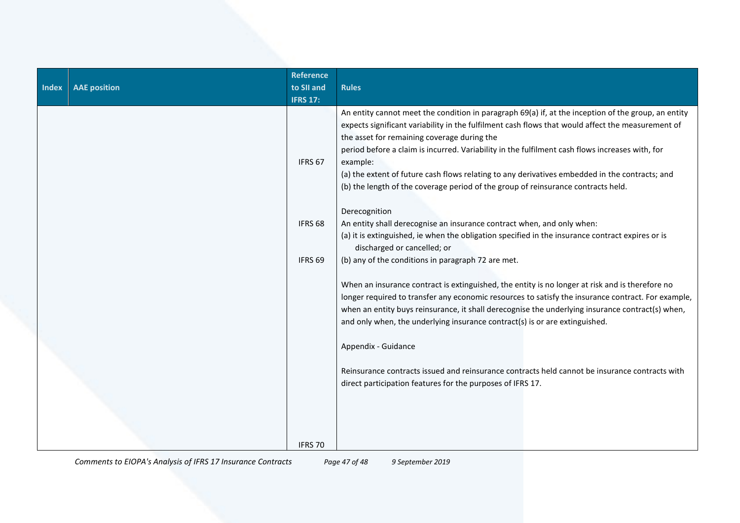| <b>Index</b> | <b>AAE</b> position | <b>Reference</b><br>to SII and<br><b>IFRS 17:</b> | <b>Rules</b>                                                                                                                                                                                                                                                                                                                                                                                                                                                                                                                                                  |
|--------------|---------------------|---------------------------------------------------|---------------------------------------------------------------------------------------------------------------------------------------------------------------------------------------------------------------------------------------------------------------------------------------------------------------------------------------------------------------------------------------------------------------------------------------------------------------------------------------------------------------------------------------------------------------|
|              |                     | IFRS 67                                           | An entity cannot meet the condition in paragraph 69(a) if, at the inception of the group, an entity<br>expects significant variability in the fulfilment cash flows that would affect the measurement of<br>the asset for remaining coverage during the<br>period before a claim is incurred. Variability in the fulfilment cash flows increases with, for<br>example:<br>(a) the extent of future cash flows relating to any derivatives embedded in the contracts; and<br>(b) the length of the coverage period of the group of reinsurance contracts held. |
|              |                     | IFRS <sub>68</sub>                                | Derecognition<br>An entity shall derecognise an insurance contract when, and only when:                                                                                                                                                                                                                                                                                                                                                                                                                                                                       |
|              |                     |                                                   | (a) it is extinguished, ie when the obligation specified in the insurance contract expires or is<br>discharged or cancelled; or                                                                                                                                                                                                                                                                                                                                                                                                                               |
|              |                     | IFRS <sub>69</sub>                                | (b) any of the conditions in paragraph 72 are met.                                                                                                                                                                                                                                                                                                                                                                                                                                                                                                            |
|              |                     |                                                   | When an insurance contract is extinguished, the entity is no longer at risk and is therefore no<br>longer required to transfer any economic resources to satisfy the insurance contract. For example,<br>when an entity buys reinsurance, it shall derecognise the underlying insurance contract(s) when,<br>and only when, the underlying insurance contract(s) is or are extinguished.                                                                                                                                                                      |
|              |                     |                                                   | Appendix - Guidance                                                                                                                                                                                                                                                                                                                                                                                                                                                                                                                                           |
|              |                     |                                                   | Reinsurance contracts issued and reinsurance contracts held cannot be insurance contracts with<br>direct participation features for the purposes of IFRS 17.                                                                                                                                                                                                                                                                                                                                                                                                  |
|              |                     | IFRS 70                                           |                                                                                                                                                                                                                                                                                                                                                                                                                                                                                                                                                               |

*Comments to EIOPA's Analysis of IFRS 17 Insurance Contracts Page 47 of 48 9 September 2019*